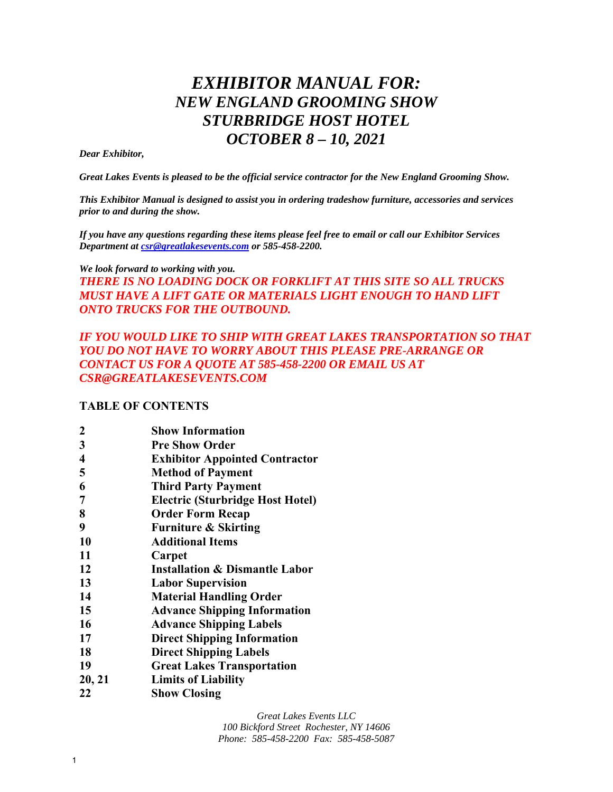# *EXHIBITOR MANUAL FOR: NEW ENGLAND GROOMING SHOW STURBRIDGE HOST HOTEL OCTOBER 8 – 10, 2021*

#### *Dear Exhibitor,*

*Great Lakes Events is pleased to be the official service contractor for the New England Grooming Show.* 

*This Exhibitor Manual is designed to assist you in ordering tradeshow furniture, accessories and services prior to and during the show.* 

*If you have any questions regarding these items please feel free to email or call our Exhibitor Services Department at csr@greatlakesevents.com or 585-458-2200.* 

# *We look forward to working with you. THERE IS NO LOADING DOCK OR FORKLIFT AT THIS SITE SO ALL TRUCKS MUST HAVE A LIFT GATE OR MATERIALS LIGHT ENOUGH TO HAND LIFT ONTO TRUCKS FOR THE OUTBOUND.*

# *IF YOU WOULD LIKE TO SHIP WITH GREAT LAKES TRANSPORTATION SO THAT YOU DO NOT HAVE TO WORRY ABOUT THIS PLEASE PRE-ARRANGE OR CONTACT US FOR A QUOTE AT 585-458-2200 OR EMAIL US AT CSR@GREATLAKESEVENTS.COM*

# **TABLE OF CONTENTS**

| <b>Show Information</b> |  |
|-------------------------|--|
|-------------------------|--|

- **3 Pre Show Order**
- **4 Exhibitor Appointed Contractor**
- **5 Method of Payment**
- **6 Third Party Payment**
- **7 Electric (Sturbridge Host Hotel)**
- **8 Order Form Recap**
- **9 Furniture & Skirting**
- **10 Additional Items**
- **11 Carpet**
- **12 Installation & Dismantle Labor**
- **13 Labor Supervision**
- **14 Material Handling Order**
- **15 Advance Shipping Information**
- **16 Advance Shipping Labels**
- **17 Direct Shipping Information**
- **18 Direct Shipping Labels**
- **19 Great Lakes Transportation**
- **20, 21 Limits of Liability**
- **22 Show Closing**

*Great Lakes Events LLC* 

*100 Bickford Street Rochester, NY 14606 Phone: 585-458-2200 Fax: 585-458-5087*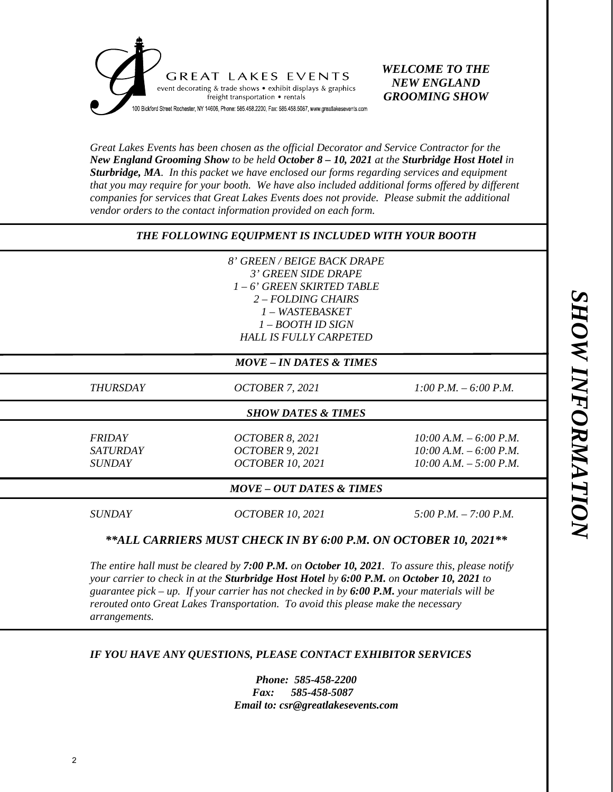

# *WELCOME TO THE NEW ENGLAND GROOMING SHOW*

*Great Lakes Events has been chosen as the official Decorator and Service Contractor for the New England Grooming Show to be held October 8 – 10, 2021 at the Sturbridge Host Hotel in Sturbridge, MA. In this packet we have enclosed our forms regarding services and equipment that you may require for your booth. We have also included additional forms offered by different companies for services that Great Lakes Events does not provide. Please submit the additional vendor orders to the contact information provided on each form.* 

# *THE FOLLOWING EQUIPMENT IS INCLUDED WITH YOUR BOOTH*

*8' GREEN / BEIGE BACK DRAPE 3' GREEN SIDE DRAPE 1 – 6' GREEN SKIRTED TABLE 2 – FOLDING CHAIRS 1 – WASTEBASKET 1 – BOOTH ID SIGN HALL IS FULLY CARPETED* 

#### *MOVE – IN DATES & TIMES*

*THURSDAY OCTOBER 7, 2021 1:00 P.M. – 6:00 P.M.* 

#### *SHOW DATES & TIMES*

*FRIDAY OCTOBER 8, 2021 10:00 A.M. – 6:00 P.M. SATURDAY OCTOBER 9, 2021 10:00 A.M. – 6:00 P.M. SUNDAY OCTOBER 10, 2021 10:00 A.M. – 5:00 P.M.* 

#### *MOVE – OUT DATES & TIMES*

*SUNDAY OCTOBER 10, 2021 5:00 P.M. – 7:00 P.M.* 

#### *\*\*ALL CARRIERS MUST CHECK IN BY 6:00 P.M. ON OCTOBER 10, 2021\*\**

*The entire hall must be cleared by 7:00 P.M. on October 10, 2021. To assure this, please notify your carrier to check in at the Sturbridge Host Hotel by 6:00 P.M. on October 10, 2021 to guarantee pick – up. If your carrier has not checked in by 6:00 P.M. your materials will be rerouted onto Great Lakes Transportation. To avoid this please make the necessary arrangements.* 

#### *IF YOU HAVE ANY QUESTIONS, PLEASE CONTACT EXHIBITOR SERVICES*

*Phone: 585-458-2200 Fax: 585-458-5087 Email to: csr@greatlakesevents.com*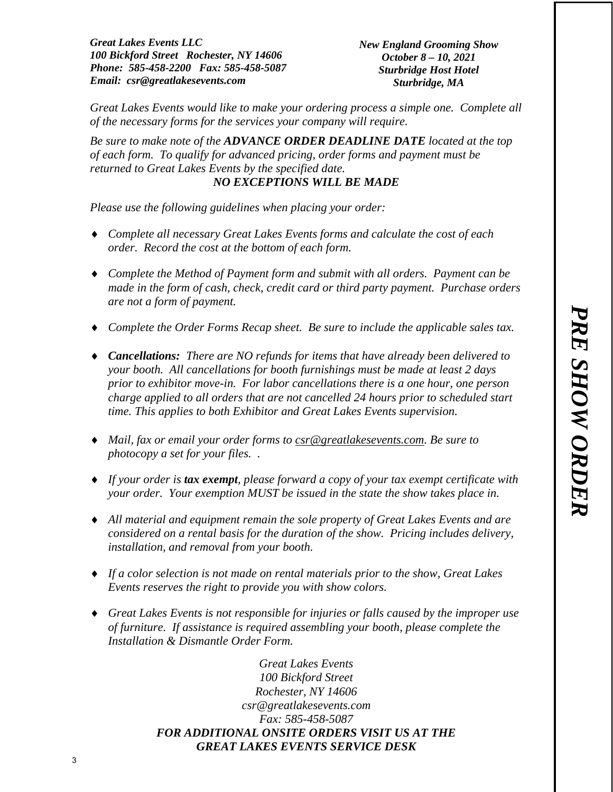*New England Grooming Show October 8 – 10, 2021 Sturbridge Host Hotel Sturbridge, MA* 

*Great Lakes Events would like to make your ordering process a simple one. Complete all of the necessary forms for the services your company will require.* 

*Be sure to make note of the ADVANCE ORDER DEADLINE DATE located at the top of each form. To qualify for advanced pricing, order forms and payment must be returned to Great Lakes Events by the specified date. NO EXCEPTIONS WILL BE MADE*

*Please use the following guidelines when placing your order:* 

- *Complete all necessary Great Lakes Events forms and calculate the cost of each order. Record the cost at the bottom of each form.*
- *Complete the Method of Payment form and submit with all orders. Payment can be made in the form of cash, check, credit card or third party payment. Purchase orders are not a form of payment.*
- *Complete the Order Forms Recap sheet. Be sure to include the applicable sales tax.*
- *Cancellations: There are NO refunds for items that have already been delivered to your booth. All cancellations for booth furnishings must be made at least 2 days prior to exhibitor move-in. For labor cancellations there is a one hour, one person charge applied to all orders that are not cancelled 24 hours prior to scheduled start time. This applies to both Exhibitor and Great Lakes Events supervision.*
- *Mail, fax or email your order forms to csr@greatlakesevents.com. Be sure to photocopy a set for your files. .*
- *If your order is tax exempt, please forward a copy of your tax exempt certificate with your order. Your exemption MUST be issued in the state the show takes place in.*
- *All material and equipment remain the sole property of Great Lakes Events and are considered on a rental basis for the duration of the show. Pricing includes delivery, installation, and removal from your booth.*
- *If a color selection is not made on rental materials prior to the show, Great Lakes Events reserves the right to provide you with show colors.*
- *Great Lakes Events is not responsible for injuries or falls caused by the improper use of furniture. If assistance is required assembling your booth, please complete the Installation & Dismantle Order Form.*

*Great Lakes Events 100 Bickford Street Rochester, NY 14606 csr@greatlakesevents.com Fax: 585-458-5087 FOR ADDITIONAL ONSITE ORDERS VISIT US AT THE GREAT LAKES EVENTS SERVICE DESK*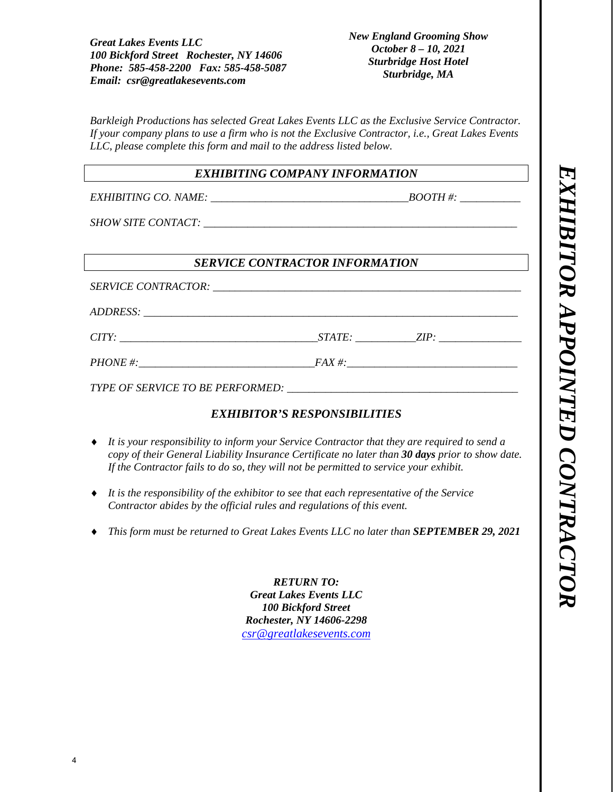*New England Grooming Show October 8 – 10, 2021 Sturbridge Host Hotel Sturbridge, MA* 

*Barkleigh Productions has selected Great Lakes Events LLC as the Exclusive Service Contractor. If your company plans to use a firm who is not the Exclusive Contractor, i.e., Great Lakes Events LLC, please complete this form and mail to the address listed below.* 

## *EXHIBITING COMPANY INFORMATION*

*EXHIBITING CO. NAME:*  $\begin{array}{c} \hline \text{BOOTH}\,\text{#:} \end{array}$ 

*SHOW SITE CONTACT:*  $\blacksquare$ 

# *SERVICE CONTRACTOR INFORMATION*

 $SERVICE$  *CONTRACTOR:*  $\overline{C}$ 

*ADDRESS: \_\_\_\_\_\_\_\_\_\_\_\_\_\_\_\_\_\_\_\_\_\_\_\_\_\_\_\_\_\_\_\_\_\_\_\_\_\_\_\_\_\_\_\_\_\_\_\_\_\_\_\_\_\_\_\_\_\_\_\_\_\_\_\_\_\_\_\_* 

*CITY: STATE: ZIP: ZIP: <i>D* 

*PHONE #:\_\_\_\_\_\_\_\_\_\_\_\_\_\_\_\_\_\_\_\_\_\_\_\_\_\_\_\_\_\_\_\_FAX #:\_\_\_\_\_\_\_\_\_\_\_\_\_\_\_\_\_\_\_\_\_\_\_\_\_\_\_\_\_\_\_* 

*TYPE OF SERVICE TO BE PERFORMED: \_\_\_\_\_\_\_\_\_\_\_\_\_\_\_\_\_\_\_\_\_\_\_\_\_\_\_\_\_\_\_\_\_\_\_\_\_\_\_\_\_\_* 

# *EXHIBITOR'S RESPONSIBILITIES*

- *It is your responsibility to inform your Service Contractor that they are required to send a copy of their General Liability Insurance Certificate no later than 30 days prior to show date. If the Contractor fails to do so, they will not be permitted to service your exhibit.*
- *It is the responsibility of the exhibitor to see that each representative of the Service Contractor abides by the official rules and regulations of this event.*
- *This form must be returned to Great Lakes Events LLC no later than SEPTEMBER 29, 2021*

*RETURN TO: Great Lakes Events LLC 100 Bickford Street Rochester, NY 14606-2298 csr@greatlakesevents.com*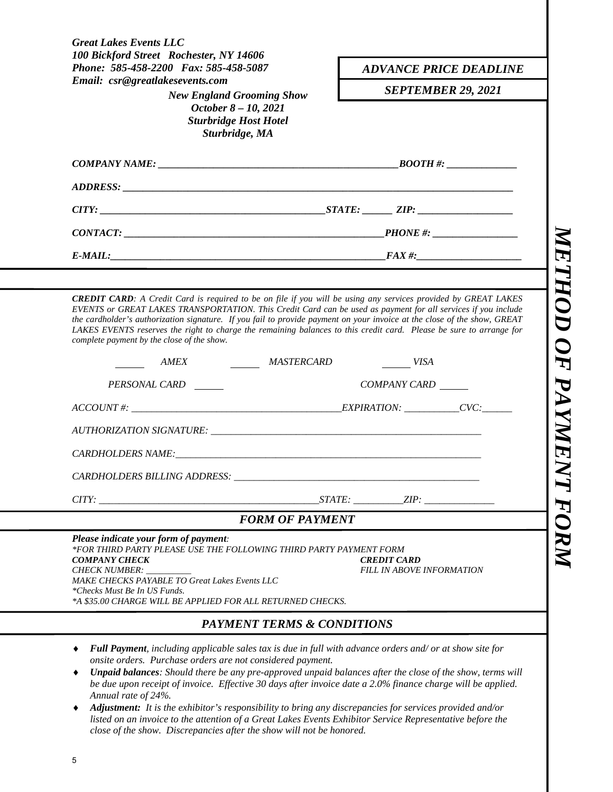| 100 Bickford Street Rochester, NY 14606<br>Phone: 585-458-2200 Fax: 585-458-5087                                                                                                                                                                                                                       | <b>ADVANCE PRICE DEADLINE</b>                                                                                 |
|--------------------------------------------------------------------------------------------------------------------------------------------------------------------------------------------------------------------------------------------------------------------------------------------------------|---------------------------------------------------------------------------------------------------------------|
| Email: csr@greatlakesevents.com<br><b>New England Grooming Show</b>                                                                                                                                                                                                                                    | <b>SEPTEMBER 29, 2021</b>                                                                                     |
| October 8 - 10, 2021<br><b>Sturbridge Host Hotel</b><br>Sturbridge, MA                                                                                                                                                                                                                                 |                                                                                                               |
|                                                                                                                                                                                                                                                                                                        |                                                                                                               |
|                                                                                                                                                                                                                                                                                                        |                                                                                                               |
|                                                                                                                                                                                                                                                                                                        |                                                                                                               |
|                                                                                                                                                                                                                                                                                                        |                                                                                                               |
| $E-MAIL:$ FAX #:                                                                                                                                                                                                                                                                                       |                                                                                                               |
|                                                                                                                                                                                                                                                                                                        |                                                                                                               |
|                                                                                                                                                                                                                                                                                                        | EVENTS or GREAT LAKES TRANSPORTATION. This Credit Card can be used as payment for all services if you include |
| AMEX MASTERCARD<br>PERSONAL CARD                                                                                                                                                                                                                                                                       | $\frac{VISA}{VISA}$<br>COMPANY CARD                                                                           |
|                                                                                                                                                                                                                                                                                                        |                                                                                                               |
|                                                                                                                                                                                                                                                                                                        |                                                                                                               |
|                                                                                                                                                                                                                                                                                                        |                                                                                                               |
|                                                                                                                                                                                                                                                                                                        |                                                                                                               |
| the cardholder's authorization signature. If you fail to provide payment on your invoice at the close of the show, GREAT<br>LAKES EVENTS reserves the right to charge the remaining balances to this credit card. Please be sure to arrange for<br>complete payment by the close of the show.<br>CITY: | $STATE:$ $ZIP:$                                                                                               |
| <b>FORM OF PAYMENT</b>                                                                                                                                                                                                                                                                                 |                                                                                                               |
| Please indicate your form of payment:<br>*FOR THIRD PARTY PLEASE USE THE FOLLOWING THIRD PARTY PAYMENT FORM                                                                                                                                                                                            |                                                                                                               |
|                                                                                                                                                                                                                                                                                                        | <b>CREDIT CARD</b>                                                                                            |
| <b>COMPANY CHECK</b><br>CHECK NUMBER:<br>MAKE CHECKS PAYABLE TO Great Lakes Events LLC                                                                                                                                                                                                                 | <b>FILL IN ABOVE INFORMATION</b>                                                                              |
| *Checks Must Be In US Funds.<br>*A \$35.00 CHARGE WILL BE APPLIED FOR ALL RETURNED CHECKS.                                                                                                                                                                                                             |                                                                                                               |

- *Full Payment, including applicable sales tax is due in full with advance orders and/ or at show site for onsite orders. Purchase orders are not considered payment.*
- *Unpaid balances: Should there be any pre-approved unpaid balances after the close of the show, terms will be due upon receipt of invoice. Effective 30 days after invoice date a 2.0% finance charge will be applied. Annual rate of 24%.*
- *Adjustment: It is the exhibitor's responsibility to bring any discrepancies for services provided and/or listed on an invoice to the attention of a Great Lakes Events Exhibitor Service Representative before the close of the show. Discrepancies after the show will not be honored.*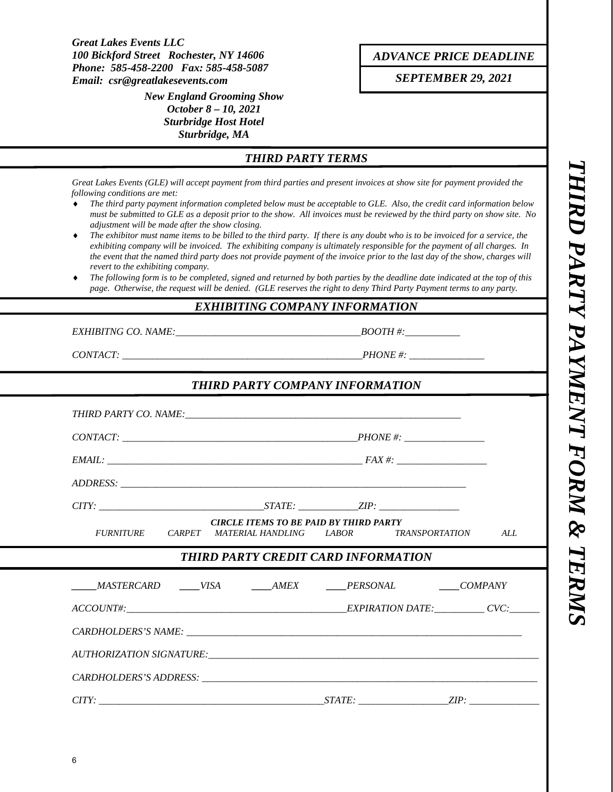> *New England Grooming Show October 8 – 10, 2021 Sturbridge Host Hotel Sturbridge, MA*

*ADVANCE PRICE DEADLINE*

*SEPTEMBER 29, 2021* 

# *THIRD PARTY TERMS*

*Great Lakes Events (GLE) will accept payment from third parties and present invoices at show site for payment provided the following conditions are met:* 

- *The third party payment information completed below must be acceptable to GLE. Also, the credit card information below must be submitted to GLE as a deposit prior to the show. All invoices must be reviewed by the third party on show site. No adjustment will be made after the show closing.*
- *The exhibitor must name items to be billed to the third party. If there is any doubt who is to be invoiced for a service, the exhibiting company will be invoiced. The exhibiting company is ultimately responsible for the payment of all charges. In the event that the named third party does not provide payment of the invoice prior to the last day of the show, charges will revert to the exhibiting company.*
- *The following form is to be completed, signed and returned by both parties by the deadline date indicated at the top of this page. Otherwise, the request will be denied. (GLE reserves the right to deny Third Party Payment terms to any party.*

#### *EXHIBITING COMPANY INFORMATION*

*EXHIBITNG CO. NAME:*  $\blacksquare$ 

*CONTACT: \_\_\_\_\_\_\_\_\_\_\_\_\_\_\_\_\_\_\_\_\_\_\_\_\_\_\_\_\_\_\_\_\_\_\_\_\_\_\_\_\_\_\_\_\_\_\_\_PHONE #: \_\_\_\_\_\_\_\_\_\_\_\_\_\_\_* 

| FURNITURE CARPET MATERIAL HANDLING LABOR TRANSPORTATION ALL            | <b>CIRCLE ITEMS TO BE PAID BY THIRD PARTY</b> |  |  |
|------------------------------------------------------------------------|-----------------------------------------------|--|--|
|                                                                        | THIRD PARTY CREDIT CARD INFORMATION           |  |  |
| ______MASTERCARD ______VISA _______AMEX _______PERSONAL _______COMPANY |                                               |  |  |
| $ACCOUNT\#$ : $CVC$                                                    |                                               |  |  |
|                                                                        |                                               |  |  |
|                                                                        |                                               |  |  |
|                                                                        |                                               |  |  |

THIRD PARTY PAYMENT FORM & TERM! *THIRD PARTY PAYMENT FORM & TERMS*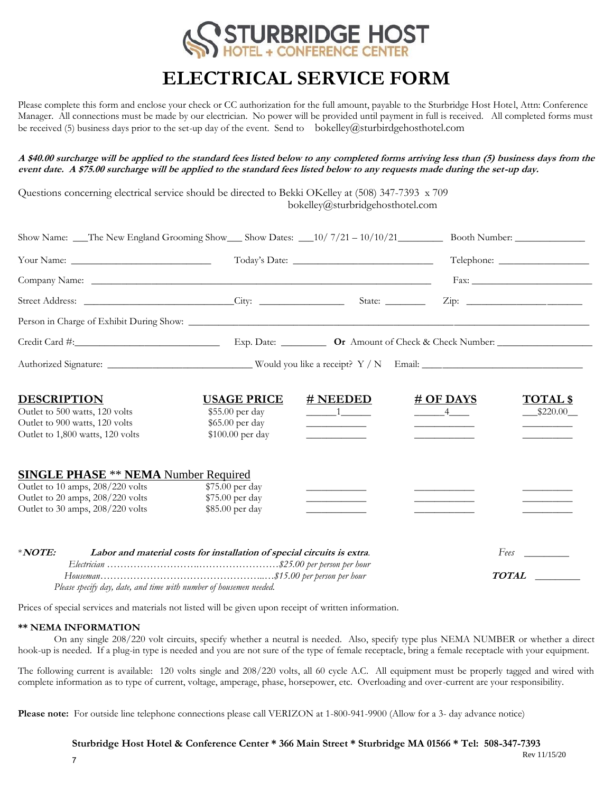

# **ELECTRICAL SERVICE FORM**

Please complete this form and enclose your check or CC authorization for the full amount, payable to the Sturbridge Host Hotel, Attn: Conference Manager. All connections must be made by our electrician. No power will be provided until payment in full is received. All completed forms must be received (5) business days prior to the set-up day of the event. Send to bokelley@sturbirdgehosthotel.com

**A \$40.00 surcharge will be applied to the standard fees listed below to any completed forms arriving less than (5) business days from the event date. A \$75.00 surcharge will be applied to the standard fees listed below to any requests made during the set-up day.**

Questions concerning electrical service should be directed to Bekki OKelley at (508) 347-7393 x 709 bokelley@sturbridgehosthotel.com

| Show Name: The New England Grooming Show Show Dates: 10/7/21 - 10/10/21 Booth Number:                                                                                                                                          |                                                                                                                                                                                                                                                                                                                                                                                                                                                              |                                                                                                                                                                                                                                                                                                                                                                                                                                                                                        |                                                                                                     |                                                                                |  |  |
|--------------------------------------------------------------------------------------------------------------------------------------------------------------------------------------------------------------------------------|--------------------------------------------------------------------------------------------------------------------------------------------------------------------------------------------------------------------------------------------------------------------------------------------------------------------------------------------------------------------------------------------------------------------------------------------------------------|----------------------------------------------------------------------------------------------------------------------------------------------------------------------------------------------------------------------------------------------------------------------------------------------------------------------------------------------------------------------------------------------------------------------------------------------------------------------------------------|-----------------------------------------------------------------------------------------------------|--------------------------------------------------------------------------------|--|--|
|                                                                                                                                                                                                                                |                                                                                                                                                                                                                                                                                                                                                                                                                                                              |                                                                                                                                                                                                                                                                                                                                                                                                                                                                                        |                                                                                                     |                                                                                |  |  |
|                                                                                                                                                                                                                                |                                                                                                                                                                                                                                                                                                                                                                                                                                                              |                                                                                                                                                                                                                                                                                                                                                                                                                                                                                        |                                                                                                     |                                                                                |  |  |
|                                                                                                                                                                                                                                |                                                                                                                                                                                                                                                                                                                                                                                                                                                              |                                                                                                                                                                                                                                                                                                                                                                                                                                                                                        | $\overline{\mathrm{Zip: }}$                                                                         |                                                                                |  |  |
|                                                                                                                                                                                                                                |                                                                                                                                                                                                                                                                                                                                                                                                                                                              |                                                                                                                                                                                                                                                                                                                                                                                                                                                                                        |                                                                                                     |                                                                                |  |  |
| Credit Card #: Card #: Exp. Date: Card #: Exp. Date: Card #: Card #: Card #: Card #: Card #: Card #: Card #: Card #: Card #: Card #: Card #: Card #: Card #: Card #: Card #: Card #: Card #: Card #: Card #: Card #: Card #: C |                                                                                                                                                                                                                                                                                                                                                                                                                                                              |                                                                                                                                                                                                                                                                                                                                                                                                                                                                                        |                                                                                                     |                                                                                |  |  |
|                                                                                                                                                                                                                                |                                                                                                                                                                                                                                                                                                                                                                                                                                                              |                                                                                                                                                                                                                                                                                                                                                                                                                                                                                        |                                                                                                     |                                                                                |  |  |
| <b>DESCRIPTION</b><br>Outlet to 500 watts, 120 volts<br>Outlet to 900 watts, 120 volts<br>Outlet to 1,800 watts, 120 volts                                                                                                     | <b>USAGE PRICE</b><br>\$55.00 per day<br>\$65.00 per day<br>\$100.00 per day                                                                                                                                                                                                                                                                                                                                                                                 | # NEEDED<br>$\frac{1}{\sqrt{1-\frac{1}{2}}}\frac{1}{\sqrt{1-\frac{1}{2}}}\frac{1}{\sqrt{1-\frac{1}{2}}}\frac{1}{\sqrt{1-\frac{1}{2}}}\frac{1}{\sqrt{1-\frac{1}{2}}}\frac{1}{\sqrt{1-\frac{1}{2}}}\frac{1}{\sqrt{1-\frac{1}{2}}}\frac{1}{\sqrt{1-\frac{1}{2}}}\frac{1}{\sqrt{1-\frac{1}{2}}}\frac{1}{\sqrt{1-\frac{1}{2}}}\frac{1}{\sqrt{1-\frac{1}{2}}}\frac{1}{\sqrt{1-\frac{1}{2}}}\frac{1}{\sqrt{1-\frac{1}{2}}}\frac{1}{\sqrt{1-\frac{$<br><u> 1989 - Johann Barbara, martin a</u> | # OF DAYS<br>$-4$<br><u>experience</u> and the control of the control of                            | <b>TOTAL \$</b><br>\$220.00<br><u> 1980 - Johann Barnett, fransk politiker</u> |  |  |
| <b>SINGLE PHASE ** NEMA Number Required</b><br>Outlet to 10 amps, 208/220 volts<br>Outlet to 20 amps, 208/220 volts<br>Outlet to 30 amps, 208/220 volts                                                                        | \$75.00 per day<br>\$75.00 per day<br>\$85.00 per day                                                                                                                                                                                                                                                                                                                                                                                                        | <u> 1989 - Johann Barnett, fransk politiker (</u>                                                                                                                                                                                                                                                                                                                                                                                                                                      | <u> 1980 - Johann Stoff, Amerikaansk politiker (</u><br><u> De Carlos de Carlos de Carlos de Ca</u> |                                                                                |  |  |
| $*NOTE:$                                                                                                                                                                                                                       | Labor and material costs for installation of special circuits is extra.                                                                                                                                                                                                                                                                                                                                                                                      |                                                                                                                                                                                                                                                                                                                                                                                                                                                                                        |                                                                                                     | $F$ ees                                                                        |  |  |
|                                                                                                                                                                                                                                | $\mathbf{a} \cdot \mathbf{b} = \mathbf{b} \cdot \mathbf{c} + \mathbf{c} \cdot \mathbf{c} + \mathbf{c} \cdot \mathbf{c} + \mathbf{c} \cdot \mathbf{c} + \mathbf{c} \cdot \mathbf{c} + \mathbf{c} \cdot \mathbf{c} + \mathbf{c} \cdot \mathbf{c} + \mathbf{c} \cdot \mathbf{c} + \mathbf{c} \cdot \mathbf{c} + \mathbf{c} \cdot \mathbf{c} + \mathbf{c} \cdot \mathbf{c} + \mathbf{c} \cdot \mathbf{c} + \mathbf{c} \cdot \mathbf{c} + \mathbf{c} \cdot \math$ |                                                                                                                                                                                                                                                                                                                                                                                                                                                                                        |                                                                                                     | TOTAL                                                                          |  |  |

*Please specify day, date, and time with number of housemen needed.*

Prices of special services and materials not listed will be given upon receipt of written information.

#### **\*\* NEMA INFORMATION**

On any single 208/220 volt circuits, specify whether a neutral is needed. Also, specify type plus NEMA NUMBER or whether a direct hook-up is needed. If a plug-in type is needed and you are not sure of the type of female receptacle, bring a female receptacle with your equipment.

The following current is available: 120 volts single and 208/220 volts, all 60 cycle A.C. All equipment must be properly tagged and wired with complete information as to type of current, voltage, amperage, phase, horsepower, etc. Overloading and over-current are your responsibility.

**Please note:** For outside line telephone connections please call VERIZON at 1-800-941-9900 (Allow for a 3- day advance notice)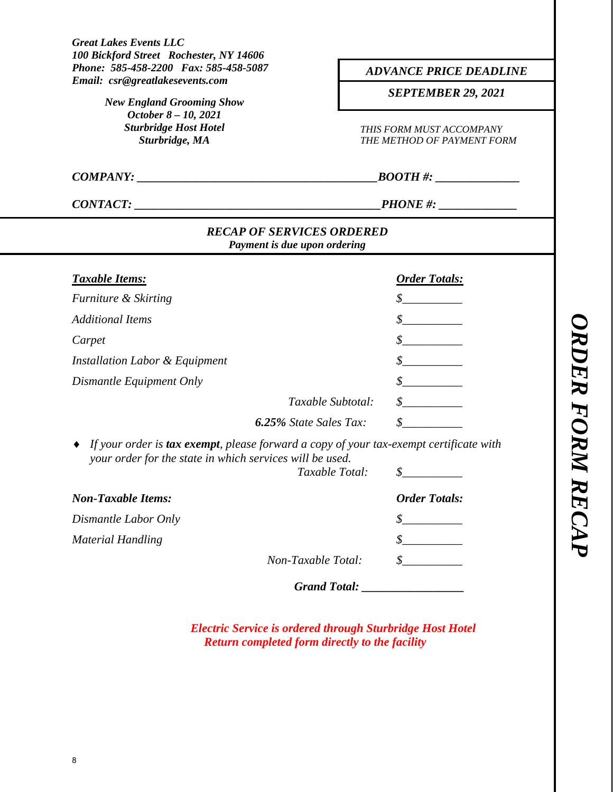| Phone: 585-458-2200 Fax: 585-458-5087<br>Email: csr@greatlakesevents.com                                                                                                     | <b>ADVANCE PRICE DEADLINE</b><br><b>SEPTEMBER 29, 2021</b><br>THIS FORM MUST ACCOMPANY<br>THE METHOD OF PAYMENT FORM |  |  |
|------------------------------------------------------------------------------------------------------------------------------------------------------------------------------|----------------------------------------------------------------------------------------------------------------------|--|--|
| <b>New England Grooming Show</b>                                                                                                                                             |                                                                                                                      |  |  |
| October 8 - 10, 2021<br><b>Sturbridge Host Hotel</b><br>Sturbridge, MA                                                                                                       |                                                                                                                      |  |  |
| COMPANY:                                                                                                                                                                     | $\angle BOOTH \#:$                                                                                                   |  |  |
| CONTACT:                                                                                                                                                                     |                                                                                                                      |  |  |
| <b>RECAP OF SERVICES ORDERED</b><br>Payment is due upon ordering                                                                                                             |                                                                                                                      |  |  |
| <b>Taxable Items:</b>                                                                                                                                                        | <b>Order Totals:</b>                                                                                                 |  |  |
| Furniture & Skirting                                                                                                                                                         | $\frac{\mathcal{S}}{\mathcal{S}}$                                                                                    |  |  |
| <b>Additional Items</b>                                                                                                                                                      | $\mathcal{S}$                                                                                                        |  |  |
| Carpet                                                                                                                                                                       |                                                                                                                      |  |  |
| Installation Labor & Equipment                                                                                                                                               |                                                                                                                      |  |  |
| Dismantle Equipment Only                                                                                                                                                     |                                                                                                                      |  |  |
| Taxable Subtotal:                                                                                                                                                            |                                                                                                                      |  |  |
| <b>6.25%</b> State Sales Tax:                                                                                                                                                |                                                                                                                      |  |  |
| If your order is <b>tax exempt</b> , please forward a copy of your tax-exempt certificate with<br>your order for the state in which services will be used.<br>Taxable Total: | \$                                                                                                                   |  |  |
| <b>Non-Taxable Items:</b>                                                                                                                                                    |                                                                                                                      |  |  |
|                                                                                                                                                                              | <b>Order Totals:</b>                                                                                                 |  |  |
|                                                                                                                                                                              |                                                                                                                      |  |  |
| Dismantle Labor Only                                                                                                                                                         |                                                                                                                      |  |  |
| <b>Material Handling</b><br>Non-Taxable Total:                                                                                                                               |                                                                                                                      |  |  |

*Electric Service is ordered through Sturbridge Host Hotel Return completed form directly to the facility*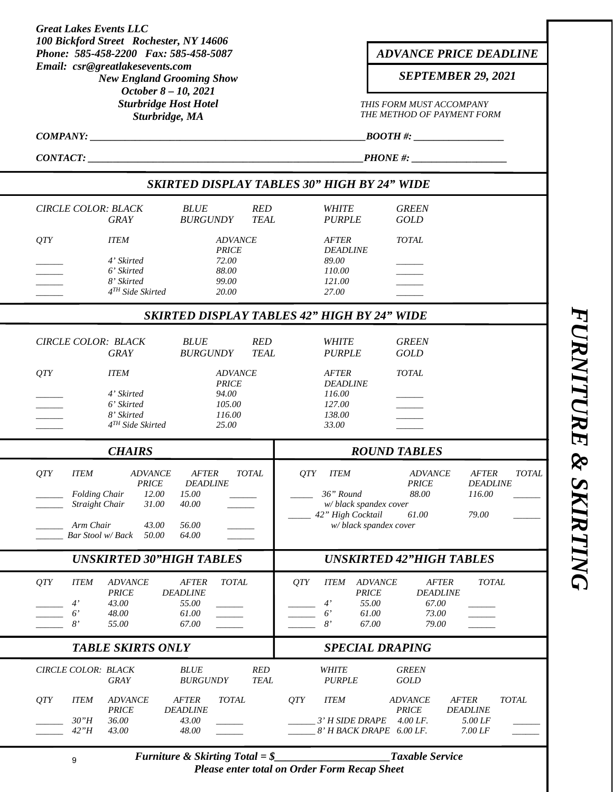| <b>Great Lakes Events LLC</b><br>100 Bickford Street Rochester, NY 14606                                     |                                                                              |                                                                     |                           |     |                                                                         |                                                                                      |                                                            |              |  |
|--------------------------------------------------------------------------------------------------------------|------------------------------------------------------------------------------|---------------------------------------------------------------------|---------------------------|-----|-------------------------------------------------------------------------|--------------------------------------------------------------------------------------|------------------------------------------------------------|--------------|--|
| Phone: 585-458-2200 Fax: 585-458-5087<br>Email: csr@greatlakesevents.com<br><b>New England Grooming Show</b> |                                                                              |                                                                     |                           |     | <b>ADVANCE PRICE DEADLINE</b><br><b>SEPTEMBER 29, 2021</b>              |                                                                                      |                                                            |              |  |
|                                                                                                              | October 8 - 10, 2021<br><b>Sturbridge Host Hotel</b><br>Sturbridge, MA       |                                                                     |                           |     |                                                                         | THIS FORM MUST ACCOMPANY<br>THE METHOD OF PAYMENT FORM                               |                                                            |              |  |
| COMPANY:                                                                                                     |                                                                              |                                                                     |                           |     |                                                                         | _BOOTH #: ____________________                                                       |                                                            |              |  |
| $PHONE$ #: $\qquad \qquad$<br>CONTACT:                                                                       |                                                                              |                                                                     |                           |     |                                                                         |                                                                                      |                                                            |              |  |
|                                                                                                              |                                                                              |                                                                     |                           |     |                                                                         | <b>SKIRTED DISPLAY TABLES 30" HIGH BY 24" WIDE</b>                                   |                                                            |              |  |
| <b>CIRCLE COLOR: BLACK</b>                                                                                   |                                                                              | <b>BLUE</b>                                                         | <b>RED</b>                |     | <b>WHITE</b>                                                            | <b>GREEN</b>                                                                         |                                                            |              |  |
|                                                                                                              | <b>GRAY</b>                                                                  | <b>BURGUNDY</b>                                                     | <b>TEAL</b>               |     | <b>PURPLE</b>                                                           | <b>GOLD</b>                                                                          |                                                            |              |  |
| <i>OTY</i>                                                                                                   | <b>ITEM</b>                                                                  | <b>ADVANCE</b><br><b>PRICE</b>                                      |                           |     | <b>AFTER</b><br><b>DEADLINE</b>                                         | <b>TOTAL</b>                                                                         |                                                            |              |  |
|                                                                                                              | 4' Skirted<br>6' Skirted                                                     | 72.00<br>88.00                                                      |                           |     | 89.00<br>110.00                                                         |                                                                                      |                                                            |              |  |
|                                                                                                              | 8' Skirted<br>4 <sup>TH</sup> Side Skirted                                   | 99.00<br>20.00                                                      |                           |     | 121.00<br>27.00                                                         |                                                                                      |                                                            |              |  |
|                                                                                                              |                                                                              |                                                                     |                           |     |                                                                         | SKIRTED DISPLAY TABLES 42" HIGH BY 24" WIDE                                          |                                                            |              |  |
| CIRCLE COLOR: BLACK                                                                                          | <b>GRAY</b>                                                                  | <b>BLUE</b><br><b>BURGUNDY</b>                                      | <b>RED</b><br><b>TEAL</b> |     | <b>WHITE</b><br><b>PURPLE</b>                                           | <b>GREEN</b><br><b>GOLD</b>                                                          |                                                            |              |  |
| <b>OTY</b>                                                                                                   | <b>ITEM</b>                                                                  | <b>ADVANCE</b>                                                      |                           |     | <b>AFTER</b>                                                            | <b>TOTAL</b>                                                                         |                                                            |              |  |
|                                                                                                              | 4' Skirted                                                                   | <b>PRICE</b><br>94.00                                               |                           |     | <b>DEADLINE</b><br>116.00                                               |                                                                                      |                                                            |              |  |
|                                                                                                              | 6' Skirted                                                                   | 105.00                                                              |                           |     | 127.00                                                                  |                                                                                      |                                                            |              |  |
|                                                                                                              | 8' Skirted<br>$4TH$ Side Skirted                                             | 116.00<br>25.00                                                     |                           |     | 138.00<br>33.00                                                         |                                                                                      |                                                            |              |  |
|                                                                                                              | <b>CHAIRS</b>                                                                |                                                                     |                           |     |                                                                         | <b>ROUND TABLES</b>                                                                  |                                                            |              |  |
| QTY<br><b>ITEM</b><br><b>Folding Chair</b><br>Straight Chair<br>Arm Chair<br>Bar Stool w/Back                | <b>ADVANCE</b><br><b>PRICE</b><br>12.00<br>31.00<br>43.00<br>50.00           | <b>AFTER</b><br><b>DEADLINE</b><br>15.00<br>40.00<br>56.00<br>64.00 | <b>TOTAL</b>              | QTY | <b>ITEM</b><br>36" Round<br>w/ black spandex cover<br>42" High Cocktail | <b>ADVANCE</b><br><b>PRICE</b><br>88.00<br>61.00<br>w/ black spandex cover           | <b>AFTER</b><br><b>DEADLINE</b><br>116.00<br>79.00         | <b>TOTAL</b> |  |
|                                                                                                              | <b>UNSKIRTED 30"HIGH TABLES</b>                                              |                                                                     |                           |     |                                                                         | <b>UNSKIRTED 42"HIGH TABLES</b>                                                      |                                                            |              |  |
| QTY<br><b>ITEM</b><br>$4^{\prime}$<br>$6^{\prime}$<br>8'                                                     | <b>ADVANCE</b><br><b>PRICE</b><br><b>DEADLINE</b><br>43.00<br>48.00<br>55.00 | <b>TOTAL</b><br><b>AFTER</b><br>55.00<br>61.00<br>67.00             |                           | QTY | <b>ITEM</b><br>4'<br>$6^{\prime}$<br>8'                                 | <b>ADVANCE</b><br><b>PRICE</b><br>55.00<br>67.00<br>73.00<br>61.00<br>67.00<br>79.00 | <b>AFTER</b><br><b>TOTAL</b><br><b>DEADLINE</b>            |              |  |
|                                                                                                              | <b>TABLE SKIRTS ONLY</b>                                                     |                                                                     |                           |     |                                                                         | <b>SPECIAL DRAPING</b>                                                               |                                                            |              |  |
| CIRCLE COLOR: BLACK                                                                                          | <b>GRAY</b>                                                                  | <b>BLUE</b><br><b>BURGUNDY</b>                                      | RED<br><b>TEAL</b>        |     | <b>WHITE</b><br><b>PURPLE</b>                                           | <b>GREEN</b><br><b>GOLD</b>                                                          |                                                            |              |  |
| QTY<br><b>ITEM</b><br>30"H                                                                                   | <b>ADVANCE</b><br><b>AFTER</b><br><b>PRICE</b><br><b>DEADLINE</b><br>36.00   | <b>TOTAL</b><br>43.00                                               |                           | QTY | <b>ITEM</b><br>3' H SIDE DRAPE                                          | <b>ADVANCE</b><br><b>PRICE</b><br>$4.00$ LF.                                         | <b>AFTER</b><br><b>TOTAL</b><br><b>DEADLINE</b><br>5.00 LF |              |  |
| 42"H                                                                                                         | 43.00                                                                        | 48.00                                                               |                           |     |                                                                         | 8' H BACK DRAPE 6.00 LF.                                                             | 7.00 LF                                                    |              |  |

**FURNITURE & SKIRTING** *FURNITURE & SKIRTING* 

*Please enter total on Order Form Recap Sheet*

*Furniture & Skirting Total = \$\_\_\_\_\_\_\_\_\_\_\_\_\_\_\_\_\_\_\_\_\_Taxable Service*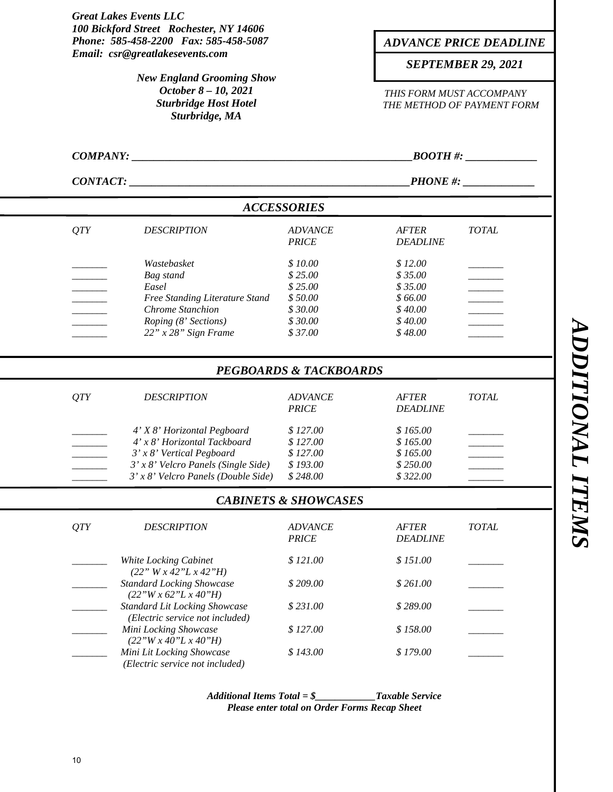*Great Lakes Events LLC 100 Bickford Street Rochester, NY 14606 Phone: 585-458-2200 Fax: 585-458-5087 Email: csr@greatlakesevents.com THIS FORM MUST ACCOMPANY THE METHOD OF PAYMENT FORM*  $\textit{COMPANY:}$   $\textit{BOOTH}\,\textit{#:}$ *CONTACT: CONTACT: PHONE #: ACCESSORIES QTY DESCRIPTION ADVANCE AFTER TOTAL PRICE DEADLINE Wastebasket*  $$ 10.00 \t $ 12.00$ *\_\_\_\_\_\_\_ Bag stand \$ 25.00 \$ 35.00 \_\_\_\_\_\_\_ \_\_\_\_\_\_\_ Easel \$ 25.00 \$ 35.00 \_\_\_\_\_\_\_ Free Standing Literature Stand*  $$50.00$   $$66.00$ *Chrome Stanchion*  $$30.00$   $$40.00$ *Roping (8' Sections)*  $$30.00$   $$40.00$ 22" *x* 28" Sign Frame \$ 37.00 \$ 48.00  *PEGBOARDS & TACKBOARDS QTY DESCRIPTION ADVANCE AFTER TOTAL PRICE DEADLINE \_\_\_\_\_\_\_ 4' X 8' Horizontal Pegboard \$ 127.00 \$ 165.00 \_\_\_\_\_\_\_ \_\_\_\_\_\_\_ 4' x 8' Horizontal Tackboard \$ 127.00 \$ 165.00 \_\_\_\_\_\_\_ 3' x 8' Vertical Pegboard*  $$ 127.00$   $$ 165.00$ *\_\_\_\_\_\_\_ 3' x 8' Velcro Panels (Single Side) \$ 193.00 \$ 250.00 \_\_\_\_\_\_\_ \_\_\_\_\_\_\_ 3' x 8' Velcro Panels (Double Side) \$ 248.00 \$ 322.00 \_\_\_\_\_\_\_ CABINETS & SHOWCASES QTY DESCRIPTION ADVANCE AFTER TOTAL PRICE DEADLINE White Locking Cabinet*  $$ 121.00$   $$ 151.00$  *(22" W x 42"L x 42"H) Standard Locking Showcase*  $$ 209.00$   $$ 261.00$  *(22"W x 62"L x 40"H) \_\_\_\_\_\_\_ Standard Lit Locking Showcase \$ 231.00 \$ 289.00 \_\_\_\_\_\_\_ (Electric service not included) Mini Locking Showcase*  $$ 127.00$   $$ 158.00$  *(22"W x 40"L x 40"H) Mini Lit Locking Showcase*  $$ 143.00$   $$ 179.00$  *(Electric service not included) ADVANCE PRICE DEADLINE SEPTEMBER 29, 2021 New England Grooming Show October 8 – 10, 2021 Sturbridge Host Hotel Sturbridge, MA* 

> *Additional Items Total = \$\_\_\_\_\_\_\_\_\_\_\_\_Taxable Service Please enter total on Order Forms Recap Sheet*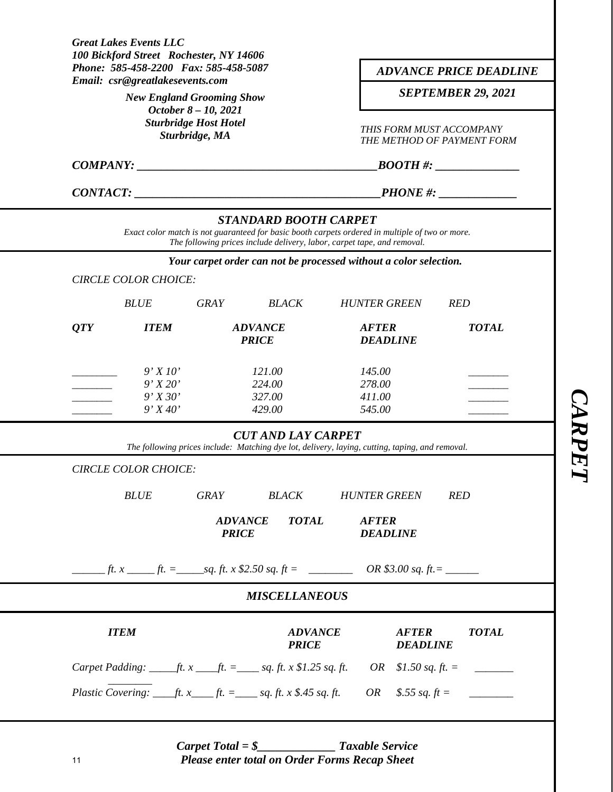|                                      | Phone: 585-458-2200 Fax: 585-458-5087<br>Email: csr@greatlakesevents.com |                                                                        | <b>ADVANCE PRICE DEADLINE</b>                          |                                                                                                                                                                            |                                 |                                                                                                         |  |  |
|--------------------------------------|--------------------------------------------------------------------------|------------------------------------------------------------------------|--------------------------------------------------------|----------------------------------------------------------------------------------------------------------------------------------------------------------------------------|---------------------------------|---------------------------------------------------------------------------------------------------------|--|--|
|                                      | <b>New England Grooming Show</b>                                         |                                                                        | <b>SEPTEMBER 29, 2021</b>                              |                                                                                                                                                                            |                                 |                                                                                                         |  |  |
|                                      |                                                                          | October 8 - 10, 2021<br><b>Sturbridge Host Hotel</b><br>Sturbridge, MA | THIS FORM MUST ACCOMPANY<br>THE METHOD OF PAYMENT FORM |                                                                                                                                                                            |                                 |                                                                                                         |  |  |
|                                      |                                                                          |                                                                        |                                                        |                                                                                                                                                                            | $\textit{BOOTH #:}\$            |                                                                                                         |  |  |
|                                      |                                                                          |                                                                        | CONTACT:                                               | $PHONE$ #: $\qquad \qquad$                                                                                                                                                 |                                 |                                                                                                         |  |  |
|                                      |                                                                          |                                                                        | <b>STANDARD BOOTH CARPET</b>                           | Exact color match is not guaranteed for basic booth carpets ordered in multiple of two or more.<br>The following prices include delivery, labor, carpet tape, and removal. |                                 |                                                                                                         |  |  |
|                                      |                                                                          |                                                                        |                                                        | Your carpet order can not be processed without a color selection.                                                                                                          |                                 |                                                                                                         |  |  |
|                                      | <b>CIRCLE COLOR CHOICE:</b>                                              |                                                                        |                                                        |                                                                                                                                                                            |                                 |                                                                                                         |  |  |
|                                      | <b>BLUE</b>                                                              | <b>GRAY</b>                                                            | <b>BLACK</b>                                           | <b>HUNTER GREEN</b>                                                                                                                                                        |                                 | <b>RED</b>                                                                                              |  |  |
| QTY                                  | <b>ITEM</b>                                                              |                                                                        | <b>ADVANCE</b><br><b>PRICE</b>                         |                                                                                                                                                                            | <b>DEADLINE</b>                 | <b>TOTAL</b>                                                                                            |  |  |
|                                      | 9'X10'                                                                   |                                                                        | 121.00                                                 |                                                                                                                                                                            | 145.00                          |                                                                                                         |  |  |
|                                      | 9'X20'                                                                   |                                                                        | 224.00                                                 |                                                                                                                                                                            | 278.00                          |                                                                                                         |  |  |
| 9'X30'<br>327.00<br>9'X40'<br>429.00 |                                                                          |                                                                        | 411.00<br>545.00                                       |                                                                                                                                                                            |                                 |                                                                                                         |  |  |
|                                      |                                                                          |                                                                        | <b>CUT AND LAY CARPET</b>                              | The following prices include: Matching dye lot, delivery, laying, cutting, taping, and removal.                                                                            |                                 |                                                                                                         |  |  |
|                                      | <b>CIRCLE COLOR CHOICE:</b>                                              |                                                                        |                                                        |                                                                                                                                                                            |                                 |                                                                                                         |  |  |
|                                      | <b>BLUE</b>                                                              | <b>GRAY</b>                                                            | <b>BLACK</b>                                           | <b>HUNTER GREEN</b>                                                                                                                                                        |                                 | <b>RED</b>                                                                                              |  |  |
|                                      |                                                                          | <b>ADVANCE</b><br><b>PRICE</b>                                         | <b>TOTAL</b>                                           | <b>AFTER</b><br><b>DEADLINE</b>                                                                                                                                            |                                 |                                                                                                         |  |  |
|                                      |                                                                          |                                                                        |                                                        |                                                                                                                                                                            |                                 |                                                                                                         |  |  |
|                                      |                                                                          |                                                                        | <b>MISCELLANEOUS</b>                                   |                                                                                                                                                                            |                                 |                                                                                                         |  |  |
|                                      | <b>ITEM</b>                                                              |                                                                        | <b>ADVANCE</b><br><b>PRICE</b>                         |                                                                                                                                                                            | <b>AFTER</b><br><b>DEADLINE</b> | <b>TOTAL</b>                                                                                            |  |  |
|                                      |                                                                          |                                                                        |                                                        |                                                                                                                                                                            |                                 | Carpet Padding: ______ft. x ____ft. = ______ sq. ft. x \$1.25 sq. ft. $OR$ \$1.50 sq. ft. = ___________ |  |  |
|                                      |                                                                          |                                                                        |                                                        |                                                                                                                                                                            |                                 |                                                                                                         |  |  |

*Carpet Total = \$\_\_\_\_\_\_\_\_\_\_\_\_\_ Taxable Service Please enter total on Order Forms Recap Sheet*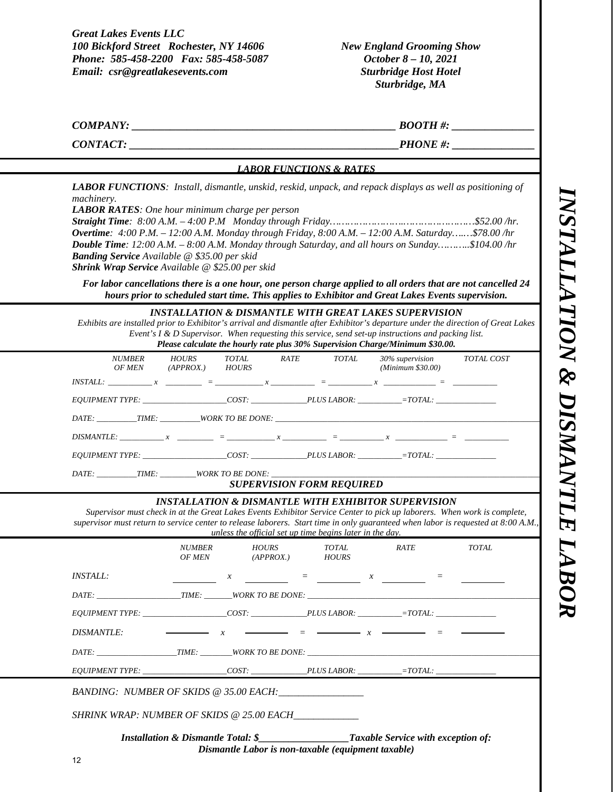*INSTALLATION & DISMANTLE LABOR*  NSTALLATION & DISMANTLE LABOR

*Great Lakes Events LLC 100 Bickford Street Rochester, NY 14606 Phone: 585-458-2200 Fax: 585-458-5087 Email: csr@greatlakesevents.com* 

*New England Grooming Show October 8 – 10, 2021 Sturbridge Host Hotel Sturbridge, MA* 

*COMPANY:*  $\blacksquare$ 

*CONTACT: \_\_\_\_\_\_\_\_\_\_\_\_\_\_\_\_\_\_\_\_\_\_\_\_\_\_\_\_\_\_\_\_\_\_\_\_\_\_\_\_\_\_\_\_\_\_\_\_\_PHONE #: \_\_\_\_\_\_\_\_\_\_\_\_\_\_\_*

#### *LABOR FUNCTIONS & RATES*

*LABOR FUNCTIONS: Install, dismantle, unskid, reskid, unpack, and repack displays as well as positioning of machinery.* 

*LABOR RATES: One hour minimum charge per person* 

*Straight Time: 8:00 A.M. – 4:00 P.M Monday through Friday…………………….……………………\$52.00 /hr. Overtime: 4:00 P.M. – 12:00 A.M. Monday through Friday, 8:00 A.M. – 12:00 A.M. Saturday….…\$78.00 /hr Double Time: 12:00 A.M. – 8:00 A.M. Monday through Saturday, and all hours on Sunday………..\$104.00 /hr Banding Service Available @ \$35.00 per skid Shrink Wrap Service Available @ \$25.00 per skid* 

*For labor cancellations there is a one hour, one person charge applied to all orders that are not cancelled 24 hours prior to scheduled start time. This applies to Exhibitor and Great Lakes Events supervision.* 

*INSTALLATION & DISMANTLE WITH GREAT LAKES SUPERVISION* 

*Exhibits are installed prior to Exhibitor's arrival and dismantle after Exhibitor's departure under the direction of Great Lakes Event's I & D Supervisor. When requesting this service, send set-up instructions and packing list. Please calculate the hourly rate plus 30% Supervision Charge/Minimum \$30.00.*

| <i>NUMBER</i><br>OF MEN                        | $(APPROX.)$ $HOURS$ | HOURS TOTAL RATE | TOTAL | (Minimum \$30.00) | 30% supervision TOTAL COST |
|------------------------------------------------|---------------------|------------------|-------|-------------------|----------------------------|
|                                                |                     |                  |       |                   |                            |
| EQUIPMENT TYPE: COST: PLUS LABOR: = = = TOTAL: |                     |                  |       |                   |                            |
|                                                |                     |                  |       |                   |                            |
|                                                |                     |                  |       |                   |                            |
|                                                |                     |                  |       |                   |                            |
| DATE: TIME: WORK TO BE DONE:                   |                     |                  |       |                   |                            |

#### *SUPERVISION FORM REQUIRED*

#### *INSTALLATION & DISMANTLE WITH EXHIBITOR SUPERVISION*

*Supervisor must check in at the Great Lakes Events Exhibitor Service Center to pick up laborers. When work is complete, supervisor must return to service center to release laborers. Start time in only guaranteed when labor is requested at 8:00 A.M., unless the official set up time begins later in the day.* 

|                                                                                                               | <i>NUMBER</i> | <i>HOURS</i><br>OF MEN (APPROX.) HOURS                                           | <i>TOTAL</i> | <i>RATE</i> | TOTAL |
|---------------------------------------------------------------------------------------------------------------|---------------|----------------------------------------------------------------------------------|--------------|-------------|-------|
| <i>INSTALL:</i>                                                                                               |               | $x \sim$ $x \sim$ $=$                                                            |              |             |       |
|                                                                                                               |               |                                                                                  |              |             |       |
|                                                                                                               |               |                                                                                  |              |             |       |
| $DISMANTLE:$ $x =$ $y =$ $x =$ $y =$ $x =$ $y =$ $y =$ $z =$ $z =$ $z =$                                      |               |                                                                                  |              |             |       |
| DATE: TIME: WORK TO BE DONE:                                                                                  |               |                                                                                  |              |             |       |
| EQUIPMENT TYPE: _____________________COST: _______________PLUS LABOR: __________=TOTAL: _____________________ |               |                                                                                  |              |             |       |
| BANDING: NUMBER OF SKIDS @ 35.00 EACH:                                                                        |               |                                                                                  |              |             |       |
| SHRINK WRAP: NUMBER OF SKIDS @ 25.00 EACH                                                                     |               |                                                                                  |              |             |       |
|                                                                                                               |               | <b>Installation &amp; Dismantle Total: \$</b> Taxable Service with exception of: |              |             |       |

*Dismantle Labor is non-taxable (equipment taxable)*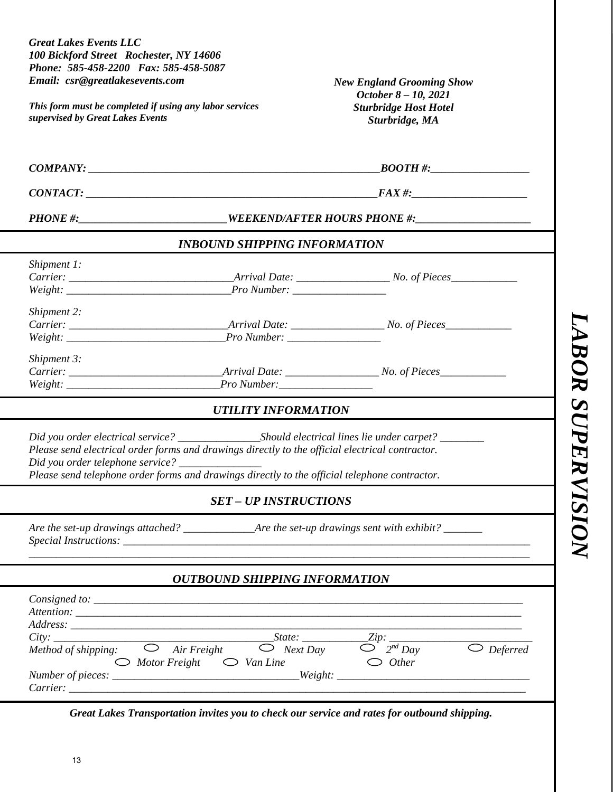| <b>New England Grooming Show</b><br>October 8 - 10, 2021<br>This form must be completed if using any labor services<br><b>Sturbridge Host Hotel</b><br>supervised by Great Lakes Events<br>Sturbridge, MA<br>$COMPANY: \_\_\_\_\_\_\_\_$<br>PHONE #:_________________________WEEKEND/AFTER HOURS PHONE #:___________________<br><b>INBOUND SHIPPING INFORMATION</b><br>Shipment 1:<br>Shipment 2:<br>Shipment 3:<br><b>UTILITY INFORMATION</b><br>Please send electrical order forms and drawings directly to the official electrical contractor.<br>Did you order telephone service? _____________<br>Please send telephone order forms and drawings directly to the official telephone contractor.<br><b>SET - UP INSTRUCTIONS</b><br><b>OUTBOUND SHIPPING INFORMATION</b><br>$Consider to: \_$<br>City: $\frac{\text{City:}}{\text{Method of shipping:}}$ $\frac{\text{Sitate:}}{\text{O} \text{Next Day}}$ $\frac{\text{Zip:}}{\text{O} \text{?}} \frac{\text{Zip:}}{\text{O} \text{?}} \frac{\text{Zip:}}{\text{O} \text{?}} \frac{\text{Div:}}{\text{O} \text{?}}$<br>$\supset$ Other<br>$\bigcirc$ Motor Freight $\bigcirc$ Van Line | <b>Great Lakes Events LLC</b><br>100 Bickford Street Rochester, NY 14606<br>Phone: 585-458-2200 Fax: 585-458-5087 |  |
|---------------------------------------------------------------------------------------------------------------------------------------------------------------------------------------------------------------------------------------------------------------------------------------------------------------------------------------------------------------------------------------------------------------------------------------------------------------------------------------------------------------------------------------------------------------------------------------------------------------------------------------------------------------------------------------------------------------------------------------------------------------------------------------------------------------------------------------------------------------------------------------------------------------------------------------------------------------------------------------------------------------------------------------------------------------------------------------------------------------------------------------------|-------------------------------------------------------------------------------------------------------------------|--|
|                                                                                                                                                                                                                                                                                                                                                                                                                                                                                                                                                                                                                                                                                                                                                                                                                                                                                                                                                                                                                                                                                                                                             | Email: csr@greatlakesevents.com                                                                                   |  |
|                                                                                                                                                                                                                                                                                                                                                                                                                                                                                                                                                                                                                                                                                                                                                                                                                                                                                                                                                                                                                                                                                                                                             |                                                                                                                   |  |
|                                                                                                                                                                                                                                                                                                                                                                                                                                                                                                                                                                                                                                                                                                                                                                                                                                                                                                                                                                                                                                                                                                                                             |                                                                                                                   |  |
|                                                                                                                                                                                                                                                                                                                                                                                                                                                                                                                                                                                                                                                                                                                                                                                                                                                                                                                                                                                                                                                                                                                                             |                                                                                                                   |  |
|                                                                                                                                                                                                                                                                                                                                                                                                                                                                                                                                                                                                                                                                                                                                                                                                                                                                                                                                                                                                                                                                                                                                             |                                                                                                                   |  |
|                                                                                                                                                                                                                                                                                                                                                                                                                                                                                                                                                                                                                                                                                                                                                                                                                                                                                                                                                                                                                                                                                                                                             |                                                                                                                   |  |
|                                                                                                                                                                                                                                                                                                                                                                                                                                                                                                                                                                                                                                                                                                                                                                                                                                                                                                                                                                                                                                                                                                                                             |                                                                                                                   |  |
|                                                                                                                                                                                                                                                                                                                                                                                                                                                                                                                                                                                                                                                                                                                                                                                                                                                                                                                                                                                                                                                                                                                                             |                                                                                                                   |  |
|                                                                                                                                                                                                                                                                                                                                                                                                                                                                                                                                                                                                                                                                                                                                                                                                                                                                                                                                                                                                                                                                                                                                             |                                                                                                                   |  |
|                                                                                                                                                                                                                                                                                                                                                                                                                                                                                                                                                                                                                                                                                                                                                                                                                                                                                                                                                                                                                                                                                                                                             |                                                                                                                   |  |
|                                                                                                                                                                                                                                                                                                                                                                                                                                                                                                                                                                                                                                                                                                                                                                                                                                                                                                                                                                                                                                                                                                                                             |                                                                                                                   |  |
|                                                                                                                                                                                                                                                                                                                                                                                                                                                                                                                                                                                                                                                                                                                                                                                                                                                                                                                                                                                                                                                                                                                                             |                                                                                                                   |  |
|                                                                                                                                                                                                                                                                                                                                                                                                                                                                                                                                                                                                                                                                                                                                                                                                                                                                                                                                                                                                                                                                                                                                             |                                                                                                                   |  |
|                                                                                                                                                                                                                                                                                                                                                                                                                                                                                                                                                                                                                                                                                                                                                                                                                                                                                                                                                                                                                                                                                                                                             |                                                                                                                   |  |
|                                                                                                                                                                                                                                                                                                                                                                                                                                                                                                                                                                                                                                                                                                                                                                                                                                                                                                                                                                                                                                                                                                                                             |                                                                                                                   |  |
| Great Lakes Transportation invites you to check our service and rates for outbound shipping.                                                                                                                                                                                                                                                                                                                                                                                                                                                                                                                                                                                                                                                                                                                                                                                                                                                                                                                                                                                                                                                |                                                                                                                   |  |

LABOR SUPERVISION *LABOR SUPERVISION LABOR SUPERVISION*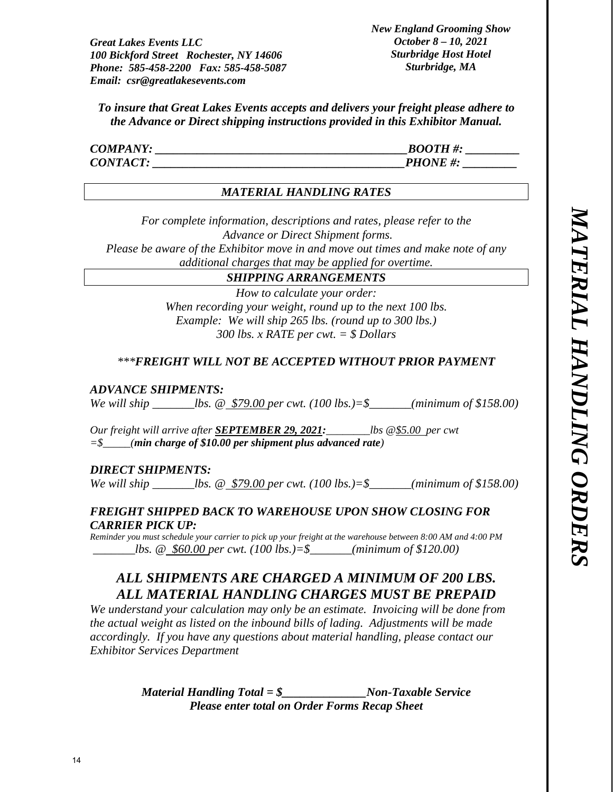*New England Grooming Show October 8 – 10, 2021 Sturbridge Host Hotel Sturbridge, MA* 

*To insure that Great Lakes Events accepts and delivers your freight please adhere to the Advance or Direct shipping instructions provided in this Exhibitor Manual.* 

| <b>COMPANY:</b> | <b>BOOTH#:</b> |
|-----------------|----------------|
| <b>CONTACT:</b> | <b>PHONE#:</b> |

#### *MATERIAL HANDLING RATES*

*For complete information, descriptions and rates, please refer to the Advance or Direct Shipment forms. Please be aware of the Exhibitor move in and move out times and make note of any* 

*additional charges that may be applied for overtime.* 

# *SHIPPING ARRANGEMENTS*

*How to calculate your order: When recording your weight, round up to the next 100 lbs. Example: We will ship 265 lbs. (round up to 300 lbs.) 300 lbs. x RATE per cwt. = \$ Dollars* 

# *\*\*\*FREIGHT WILL NOT BE ACCEPTED WITHOUT PRIOR PAYMENT*

#### *ADVANCE SHIPMENTS:*

*We will ship \_\_\_\_\_\_\_lbs. @ \$79.00 per cwt. (100 lbs.)=\$\_\_\_\_\_\_\_(minimum of \$158.00)* 

*Our freight will arrive after SEPTEMBER 29, 2021:\_\_\_\_\_\_\_\_lbs @\$5.00 per cwt =\$\_\_\_\_\_(min charge of \$10.00 per shipment plus advanced rate)* 

#### *DIRECT SHIPMENTS:*

*We will ship \_\_\_\_\_\_\_lbs. @ \$79.00 per cwt. (100 lbs.)=\$\_\_\_\_\_\_\_(minimum of \$158.00)* 

# *FREIGHT SHIPPED BACK TO WAREHOUSE UPON SHOW CLOSING FOR CARRIER PICK UP:*

*Reminder you must schedule your carrier to pick up your freight at the warehouse between 8:00 AM and 4:00 PM \_\_\_\_\_\_\_lbs. @ \$60.00 per cwt. (100 lbs.)=\$\_\_\_\_\_\_\_(minimum of \$120.00)* 

# *ALL SHIPMENTS ARE CHARGED A MINIMUM OF 200 LBS. ALL MATERIAL HANDLING CHARGES MUST BE PREPAID*

*We understand your calculation may only be an estimate. Invoicing will be done from the actual weight as listed on the inbound bills of lading. Adjustments will be made accordingly. If you have any questions about material handling, please contact our Exhibitor Services Department* 

> *Material Handling Total = \$\_\_\_\_\_\_\_\_\_\_\_\_\_\_Non-Taxable Service Please enter total on Order Forms Recap Sheet*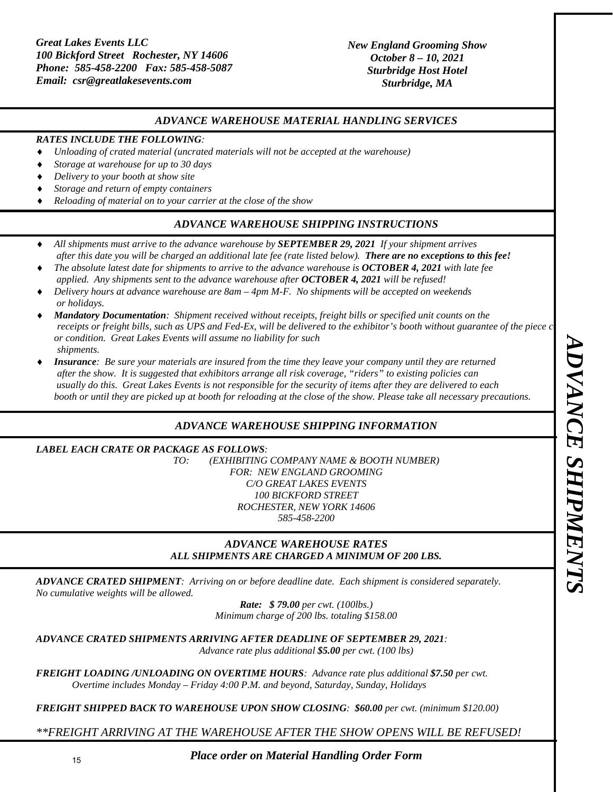#### *ADVANCE WAREHOUSE MATERIAL HANDLING SERVICES*

#### *RATES INCLUDE THE FOLLOWING:*

- *Unloading of crated material (uncrated materials will not be accepted at the warehouse)*
- *Storage at warehouse for up to 30 days*
- *Delivery to your booth at show site*
- *Storage and return of empty containers*
- *Reloading of material on to your carrier at the close of the show*

#### *ADVANCE WAREHOUSE SHIPPING INSTRUCTIONS*

- *All shipments must arrive to the advance warehouse by SEPTEMBER 29, 2021 If your shipment arrives after this date you will be charged an additional late fee (rate listed below). There are no exceptions to this fee!*
- *The absolute latest date for shipments to arrive to the advance warehouse is OCTOBER 4, 2021 with late fee applied. Any shipments sent to the advance warehouse after OCTOBER 4, 2021 will be refused!*
- *Delivery hours at advance warehouse are 8am 4pm M-F. No shipments will be accepted on weekends or holidays.*
- *Mandatory Documentation: Shipment received without receipts, freight bills or specified unit counts on the receipts or freight bills, such as UPS and Fed-Ex, will be delivered to the exhibitor's booth without guarantee of the piece c or condition. Great Lakes Events will assume no liability for such shipments.*
- *Insurance: Be sure your materials are insured from the time they leave your company until they are returned after the show. It is suggested that exhibitors arrange all risk coverage, "riders" to existing policies can usually do this. Great Lakes Events is not responsible for the security of items after they are delivered to each booth or until they are picked up at booth for reloading at the close of the show. Please take all necessary precautions.*

# *ADVANCE WAREHOUSE SHIPPING INFORMATION*

#### *LABEL EACH CRATE OR PACKAGE AS FOLLOWS:*

*TO: (EXHIBITING COMPANY NAME & BOOTH NUMBER) FOR: NEW ENGLAND GROOMING C/O GREAT LAKES EVENTS 100 BICKFORD STREET ROCHESTER, NEW YORK 14606 585-458-2200* 

#### *ADVANCE WAREHOUSE RATES ALL SHIPMENTS ARE CHARGED A MINIMUM OF 200 LBS.*

*ADVANCE CRATED SHIPMENT: Arriving on or before deadline date. Each shipment is considered separately. No cumulative weights will be allowed.* 

*Rate: \$ 79.00 per cwt. (100lbs.) Minimum charge of 200 lbs. totaling \$158.00* 

*ADVANCE CRATED SHIPMENTS ARRIVING AFTER DEADLINE OF SEPTEMBER 29, 2021:* 

*Advance rate plus additional \$5.00 per cwt. (100 lbs)* 

*FREIGHT LOADING /UNLOADING ON OVERTIME HOURS: Advance rate plus additional \$7.50 per cwt. Overtime includes Monday – Friday 4:00 P.M. and beyond, Saturday, Sunday, Holidays* 

*FREIGHT SHIPPED BACK TO WAREHOUSE UPON SHOW CLOSING: \$60.00 per cwt. (minimum \$120.00)* 

*\*\*FREIGHT ARRIVING AT THE WAREHOUSE AFTER THE SHOW OPENS WILL BE REFUSED!* 

*Place order on Material Handling Order Form*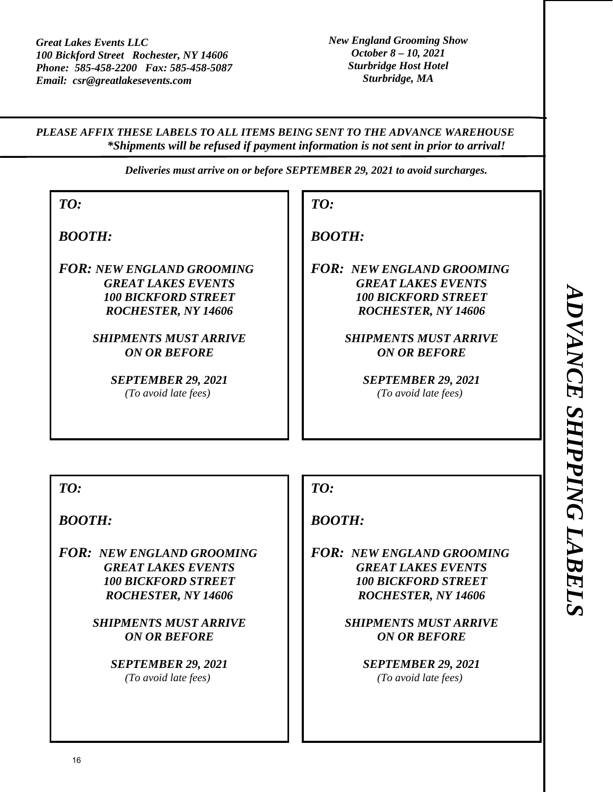*PLEASE AFFIX THESE LABELS TO ALL ITEMS BEING SENT TO THE ADVANCE WAREHOUSE \*Shipments will be refused if payment information is not sent in prior to arrival!* 

*Deliveries must arrive on or before SEPTEMBER 29, 2021 to avoid surcharges.* 

*TO:* 

*BOOTH:* 

*FOR: NEW ENGLAND GROOMING GREAT LAKES EVENTS 100 BICKFORD STREET ROCHESTER, NY 14606* 

> *SHIPMENTS MUST ARRIVE ON OR BEFORE*

> > *SEPTEMBER 29, 2021 (To avoid late fees)*

*BOOTH:* 

*TO:* 

*FOR: NEW ENGLAND GROOMING GREAT LAKES EVENTS 100 BICKFORD STREET ROCHESTER, NY 14606* 

> *SHIPMENTS MUST ARRIVE ON OR BEFORE*

> > *SEPTEMBER 29, 2021 (To avoid late fees)*

*TO:* 

*BOOTH:* 

*FOR: NEW ENGLAND GROOMING GREAT LAKES EVENTS 100 BICKFORD STREET ROCHESTER, NY 14606* 

> *SHIPMENTS MUST ARRIVE ON OR BEFORE*

> > *SEPTEMBER 29, 2021 (To avoid late fees)*

*TO:* 

*BOOTH:* 

*FOR: NEW ENGLAND GROOMING GREAT LAKES EVENTS 100 BICKFORD STREET ROCHESTER, NY 14606* 

> *SHIPMENTS MUST ARRIVE ON OR BEFORE*

> > *SEPTEMBER 29, 2021 (To avoid late fees)*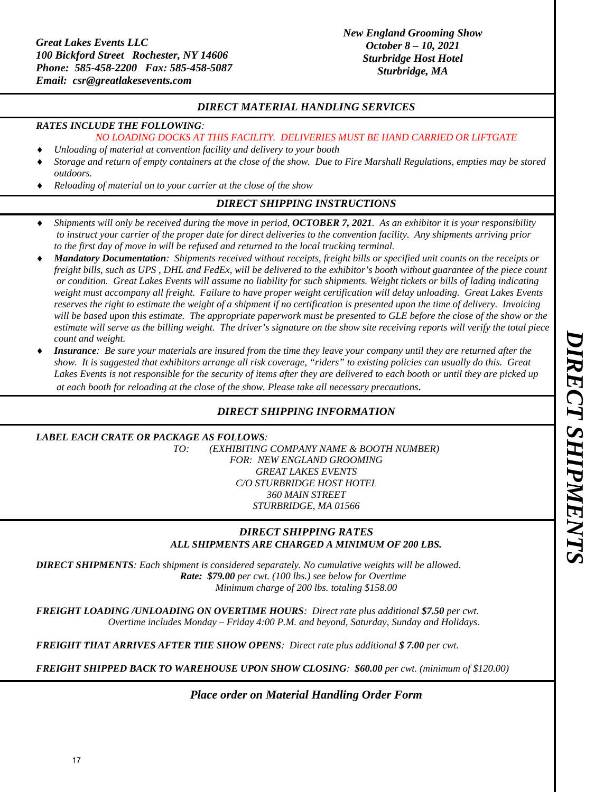# *DIRECT MATERIAL HANDLING SERVICES*

#### *RATES INCLUDE THE FOLLOWING:*

#### *NO LOADING DOCKS AT THIS FACILITY. DELIVERIES MUST BE HAND CARRIED OR LIFTGATE*

- *Unloading of material at convention facility and delivery to your booth*
- *Storage and return of empty containers at the close of the show. Due to Fire Marshall Regulations, empties may be stored outdoors.*
- *Reloading of material on to your carrier at the close of the show*

# *DIRECT SHIPPING INSTRUCTIONS*

- *Shipments will only be received during the move in period, OCTOBER 7, 2021. As an exhibitor it is your responsibility to instruct your carrier of the proper date for direct deliveries to the convention facility. Any shipments arriving prior to the first day of move in will be refused and returned to the local trucking terminal.*
- *Mandatory Documentation: Shipments received without receipts, freight bills or specified unit counts on the receipts or freight bills, such as UPS , DHL and FedEx, will be delivered to the exhibitor's booth without guarantee of the piece count or condition. Great Lakes Events will assume no liability for such shipments. Weight tickets or bills of lading indicating weight must accompany all freight. Failure to have proper weight certification will delay unloading. Great Lakes Events reserves the right to estimate the weight of a shipment if no certification is presented upon the time of delivery. Invoicing*  will be based upon this estimate. The appropriate paperwork must be presented to GLE before the close of the show or the *estimate will serve as the billing weight. The driver's signature on the show site receiving reports will verify the total piece count and weight.*
- *Insurance: Be sure your materials are insured from the time they leave your company until they are returned after the show. It is suggested that exhibitors arrange all risk coverage, "riders" to existing policies can usually do this. Great Lakes Events is not responsible for the security of items after they are delivered to each booth or until they are picked up at each booth for reloading at the close of the show. Please take all necessary precautions.*

# *DIRECT SHIPPING INFORMATION*

#### *LABEL EACH CRATE OR PACKAGE AS FOLLOWS:*

*TO: (EXHIBITING COMPANY NAME & BOOTH NUMBER) FOR: NEW ENGLAND GROOMING GREAT LAKES EVENTS C/O STURBRIDGE HOST HOTEL 360 MAIN STREET STURBRIDGE, MA 01566* 

#### *DIRECT SHIPPING RATES ALL SHIPMENTS ARE CHARGED A MINIMUM OF 200 LBS.*

*DIRECT SHIPMENTS: Each shipment is considered separately. No cumulative weights will be allowed. Rate: \$79.00 per cwt. (100 lbs.) see below for Overtime Minimum charge of 200 lbs. totaling \$158.00* 

*FREIGHT LOADING /UNLOADING ON OVERTIME HOURS: Direct rate plus additional \$7.50 per cwt. Overtime includes Monday – Friday 4:00 P.M. and beyond, Saturday, Sunday and Holidays.* 

*FREIGHT THAT ARRIVES AFTER THE SHOW OPENS: Direct rate plus additional \$ 7.00 per cwt.* 

*FREIGHT SHIPPED BACK TO WAREHOUSE UPON SHOW CLOSING: \$60.00 per cwt. (minimum of \$120.00)* 

*Place order on Material Handling Order Form*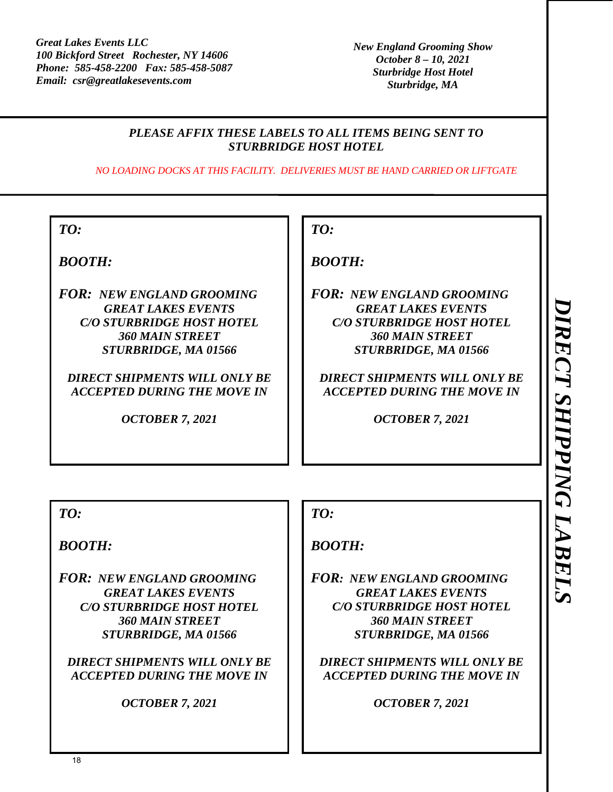# *PLEASE AFFIX THESE LABELS TO ALL ITEMS BEING SENT TO STURBRIDGE HOST HOTEL*

*NO LOADING DOCKS AT THIS FACILITY. DELIVERIES MUST BE HAND CARRIED OR LIFTGATE* 

*BOOTH:* 

*FOR: NEW ENGLAND GROOMING GREAT LAKES EVENTS C/O STURBRIDGE HOST HOTEL 360 MAIN STREET STURBRIDGE, MA 01566* 

*DIRECT SHIPMENTS WILL ONLY BE ACCEPTED DURING THE MOVE IN* 

*OCTOBER 7, 2021* 

# *TO:*

*BOOTH:* 

*FOR: NEW ENGLAND GROOMING GREAT LAKES EVENTS C/O STURBRIDGE HOST HOTEL 360 MAIN STREET STURBRIDGE, MA 01566* 

*DIRECT SHIPMENTS WILL ONLY BE ACCEPTED DURING THE MOVE IN* 

*OCTOBER 7, 2021* 

*TO:* 

*BOOTH:* 

*FOR: NEW ENGLAND GROOMING GREAT LAKES EVENTS C/O STURBRIDGE HOST HOTEL 360 MAIN STREET STURBRIDGE, MA 01566* 

*DIRECT SHIPMENTS WILL ONLY BE ACCEPTED DURING THE MOVE IN* 

*OCTOBER 7, 2021* 

# *TO:*

# *BOOTH:*

*FOR: NEW ENGLAND GROOMING GREAT LAKES EVENTS C/O STURBRIDGE HOST HOTEL 360 MAIN STREET STURBRIDGE, MA 01566* 

*DIRECT SHIPMENTS WILL ONLY BE ACCEPTED DURING THE MOVE IN* 

*OCTOBER 7, 2021*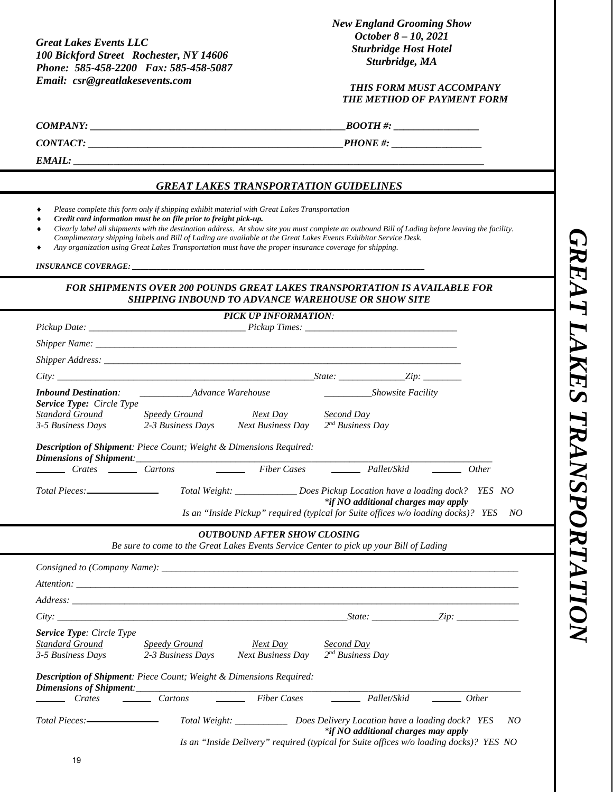*GREAT LAKES TRANSPORTATION*  **GREAT LAKES TRANSPORTATION** 

*Great Lakes Events LLC 100 Bickford Street Rochester, NY 14606 Phone: 585-458-2200 Fax: 585-458-5087 Email: csr@greatlakesevents.com* 

*New England Grooming Show October 8 – 10, 2021 Sturbridge Host Hotel Sturbridge, MA* 

#### *THIS FORM MUST ACCOMPANY THE METHOD OF PAYMENT FORM*

| COMPANY: |  |
|----------|--|

*COMPANY: \_\_\_\_\_\_\_\_\_\_\_\_\_\_\_\_\_\_\_\_\_\_\_\_\_\_\_\_\_\_\_\_\_\_\_\_\_\_\_\_\_\_\_\_\_\_\_\_\_\_\_BOOTH #: \_\_\_\_\_\_\_\_\_\_\_\_\_\_\_\_\_* 

*CONTACT: \_\_\_\_\_\_\_\_\_\_\_\_\_\_\_\_\_\_\_\_\_\_\_\_\_\_\_\_\_\_\_\_\_\_\_\_\_\_\_\_\_\_\_\_\_\_\_\_\_\_\_PHONE #: \_\_\_\_\_\_\_\_\_\_\_\_\_\_\_\_\_\_* 

*EMAIL: \_\_\_\_\_\_\_\_\_\_\_\_\_\_\_\_\_\_\_\_\_\_\_\_\_\_\_\_\_\_\_\_\_\_\_\_\_\_\_\_\_\_\_\_\_\_\_\_\_\_\_\_\_\_\_\_\_\_\_\_\_\_\_\_\_\_\_\_\_\_\_\_\_\_\_\_\_\_\_\_\_\_* 

#### *GREAT LAKES TRANSPORTATION GUIDELINES*

- *Please complete this form only if shipping exhibit material with Great Lakes Transportation*
- *Credit card information must be on file prior to freight pick-up.*
- *Clearly label all shipments with the destination address. At show site you must complete an outbound Bill of Lading before leaving the facility. Complimentary shipping labels and Bill of Lading are available at the Great Lakes Events Exhibitor Service Desk.*
- *Any organization using Great Lakes Transportation must have the proper insurance coverage for shipping.*

*INSURANCE COVERAGE: \_\_\_\_\_\_\_\_\_\_\_\_\_\_\_\_\_\_\_\_\_\_\_\_\_\_\_\_\_\_\_\_\_\_\_\_\_\_\_\_\_\_\_\_\_\_\_\_\_\_\_\_\_\_\_\_\_\_\_\_\_\_\_\_\_\_\_\_\_\_\_\_\_* 

#### *FOR SHIPMENTS OVER 200 POUNDS GREAT LAKES TRANSPORTATION IS AVAILABLE FOR SHIPPING INBOUND TO ADVANCE WAREHOUSE OR SHOW SITE*

|                                                                                                                                                                                                                               |                                    | <b>PICK UP INFORMATION:</b>                                                                                                                                             |                                            |                                                                                                                                                                                                                                                                                                                                                                                                                                 |
|-------------------------------------------------------------------------------------------------------------------------------------------------------------------------------------------------------------------------------|------------------------------------|-------------------------------------------------------------------------------------------------------------------------------------------------------------------------|--------------------------------------------|---------------------------------------------------------------------------------------------------------------------------------------------------------------------------------------------------------------------------------------------------------------------------------------------------------------------------------------------------------------------------------------------------------------------------------|
|                                                                                                                                                                                                                               |                                    |                                                                                                                                                                         |                                            |                                                                                                                                                                                                                                                                                                                                                                                                                                 |
|                                                                                                                                                                                                                               |                                    |                                                                                                                                                                         |                                            |                                                                                                                                                                                                                                                                                                                                                                                                                                 |
| Shipper Address: the contract of the contract of the contract of the contract of the contract of the contract of the contract of the contract of the contract of the contract of the contract of the contract of the contract |                                    |                                                                                                                                                                         |                                            |                                                                                                                                                                                                                                                                                                                                                                                                                                 |
|                                                                                                                                                                                                                               |                                    |                                                                                                                                                                         |                                            |                                                                                                                                                                                                                                                                                                                                                                                                                                 |
| <b>Inbound Destination:</b><br><b>Service Type:</b> Circle Type                                                                                                                                                               | Advance Warehouse                  |                                                                                                                                                                         | Showsite Facility                          |                                                                                                                                                                                                                                                                                                                                                                                                                                 |
| Standard Ground<br>3-5 Business Days                                                                                                                                                                                          | <b>Speedy Ground</b>               | Next Day<br>2-3 Business Days Next Business Day                                                                                                                         | Second Day<br>$2^{nd}$ Business Day        |                                                                                                                                                                                                                                                                                                                                                                                                                                 |
| <b>Description of Shipment:</b> Piece Count; Weight & Dimensions Required:<br>Dimensions of Shipment:                                                                                                                         |                                    |                                                                                                                                                                         |                                            |                                                                                                                                                                                                                                                                                                                                                                                                                                 |
| Crates Cartons                                                                                                                                                                                                                |                                    |                                                                                                                                                                         |                                            | $\rule{1em}{0em}$ Other                                                                                                                                                                                                                                                                                                                                                                                                         |
| Total Pieces: _________________                                                                                                                                                                                               |                                    | Total Weight: _____________________Does Pickup Location have a loading dock? YES NO                                                                                     | *if NO additional charges may apply        |                                                                                                                                                                                                                                                                                                                                                                                                                                 |
|                                                                                                                                                                                                                               |                                    | Is an "Inside Pickup" required (typical for Suite offices w/o loading docks)? YES                                                                                       |                                            | NO                                                                                                                                                                                                                                                                                                                                                                                                                              |
|                                                                                                                                                                                                                               |                                    | <b>OUTBOUND AFTER SHOW CLOSING</b><br>Be sure to come to the Great Lakes Events Service Center to pick up your Bill of Lading                                           |                                            |                                                                                                                                                                                                                                                                                                                                                                                                                                 |
|                                                                                                                                                                                                                               |                                    |                                                                                                                                                                         |                                            |                                                                                                                                                                                                                                                                                                                                                                                                                                 |
|                                                                                                                                                                                                                               |                                    |                                                                                                                                                                         |                                            |                                                                                                                                                                                                                                                                                                                                                                                                                                 |
|                                                                                                                                                                                                                               |                                    |                                                                                                                                                                         |                                            |                                                                                                                                                                                                                                                                                                                                                                                                                                 |
| City:                                                                                                                                                                                                                         |                                    |                                                                                                                                                                         |                                            | $State:$ $Zip:$                                                                                                                                                                                                                                                                                                                                                                                                                 |
| <b>Service Type: Circle Type</b><br>Standard Ground<br>3-5 Business Days                                                                                                                                                      | Speedy Ground<br>2-3 Business Days | Next Day<br><b>Next Business Day</b>                                                                                                                                    | <b>Second Day</b><br>$2^{nd}$ Business Day |                                                                                                                                                                                                                                                                                                                                                                                                                                 |
| Description of Shipment: Piece Count; Weight & Dimensions Required:                                                                                                                                                           |                                    |                                                                                                                                                                         |                                            |                                                                                                                                                                                                                                                                                                                                                                                                                                 |
| Crates                                                                                                                                                                                                                        | Cartons                            | Fiber Cases                                                                                                                                                             | Pallet/Skid                                | $\frac{1}{\sqrt{1-\frac{1}{2}}}\frac{1}{\sqrt{1-\frac{1}{2}}}\frac{1}{\sqrt{1-\frac{1}{2}}}\frac{1}{\sqrt{1-\frac{1}{2}}}\frac{1}{\sqrt{1-\frac{1}{2}}}\frac{1}{\sqrt{1-\frac{1}{2}}}\frac{1}{\sqrt{1-\frac{1}{2}}}\frac{1}{\sqrt{1-\frac{1}{2}}}\frac{1}{\sqrt{1-\frac{1}{2}}}\frac{1}{\sqrt{1-\frac{1}{2}}}\frac{1}{\sqrt{1-\frac{1}{2}}}\frac{1}{\sqrt{1-\frac{1}{2}}}\frac{1}{\sqrt{1-\frac{1}{2}}}\frac{1}{\sqrt{1-\frac{$ |
|                                                                                                                                                                                                                               |                                    | Total Weight: _______________ Does Delivery Location have a loading dock? YES<br>Is an "Inside Delivery" required (typical for Suite offices w/o loading docks)? YES NO | *if NO additional charges may apply        | NO                                                                                                                                                                                                                                                                                                                                                                                                                              |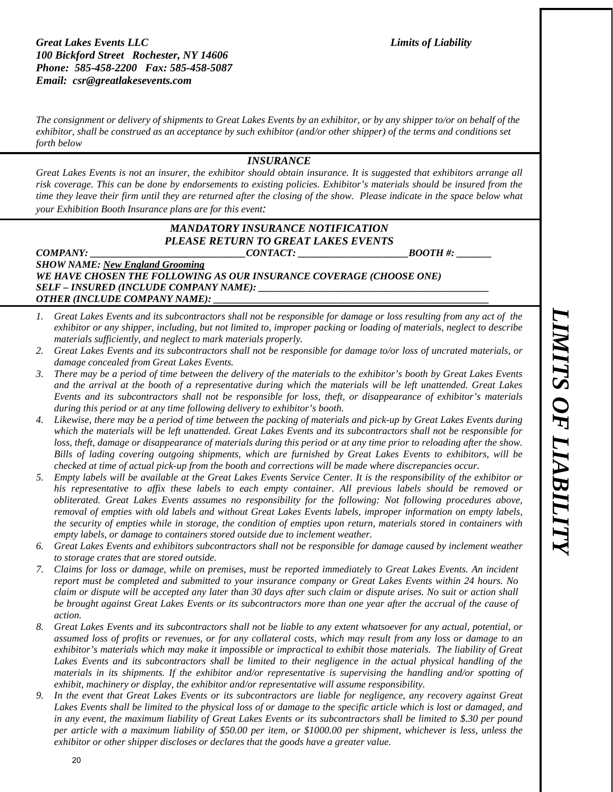#### **Great Lakes Events LLC Limits of Liability Limits of Liability** *100 Bickford Street Rochester, NY 14606 Phone: 585-458-2200 Fax: 585-458-5087 Email: csr@greatlakesevents.com*

*The consignment or delivery of shipments to Great Lakes Events by an exhibitor, or by any shipper to/or on behalf of the exhibitor, shall be construed as an acceptance by such exhibitor (and/or other shipper) of the terms and conditions set forth below* 

#### *INSURANCE*

*Great Lakes Events is not an insurer, the exhibitor should obtain insurance. It is suggested that exhibitors arrange all risk coverage. This can be done by endorsements to existing policies. Exhibitor's materials should be insured from the time they leave their firm until they are returned after the closing of the show. Please indicate in the space below what your Exhibition Booth Insurance plans are for this event:* 

# *MANDATORY INSURANCE NOTIFICATION PLEASE RETURN TO GREAT LAKES EVENTS*

 $\text{COMPANY:}$   $\text{CONTACT:}$   $\text{BOOTH}\,\text{\#}:$ *SHOW NAME: New England Grooming*  WE HAVE CHOSEN THE FOLLOWING AS OUR INSURANCE COVERAGE (CHOOSE ONE) *SELF – INSURED (INCLUDE COMPANY NAME): \_\_\_\_\_\_\_\_\_\_\_\_\_\_\_\_\_\_\_\_\_\_\_\_\_\_\_\_\_\_\_\_\_\_\_\_\_\_\_\_\_\_\_\_\_\_ OTHER (INCLUDE COMPANY NAME):* 

- *1. Great Lakes Events and its subcontractors shall not be responsible for damage or loss resulting from any act of the exhibitor or any shipper, including, but not limited to, improper packing or loading of materials, neglect to describe materials sufficiently, and neglect to mark materials properly.*
- *2. Great Lakes Events and its subcontractors shall not be responsible for damage to/or loss of uncrated materials, or damage concealed from Great Lakes Events.*
- *3. There may be a period of time between the delivery of the materials to the exhibitor's booth by Great Lakes Events and the arrival at the booth of a representative during which the materials will be left unattended. Great Lakes Events and its subcontractors shall not be responsible for loss, theft, or disappearance of exhibitor's materials during this period or at any time following delivery to exhibitor's booth.*
- *4. Likewise, there may be a period of time between the packing of materials and pick-up by Great Lakes Events during which the materials will be left unattended. Great Lakes Events and its subcontractors shall not be responsible for loss, theft, damage or disappearance of materials during this period or at any time prior to reloading after the show. Bills of lading covering outgoing shipments, which are furnished by Great Lakes Events to exhibitors, will be checked at time of actual pick-up from the booth and corrections will be made where discrepancies occur.*
- *5. Empty labels will be available at the Great Lakes Events Service Center. It is the responsibility of the exhibitor or his representative to affix these labels to each empty container. All previous labels should be removed or obliterated. Great Lakes Events assumes no responsibility for the following: Not following procedures above, removal of empties with old labels and without Great Lakes Events labels, improper information on empty labels, the security of empties while in storage, the condition of empties upon return, materials stored in containers with empty labels, or damage to containers stored outside due to inclement weather.*
- *6. Great Lakes Events and exhibitors subcontractors shall not be responsible for damage caused by inclement weather to storage crates that are stored outside.*
- *7. Claims for loss or damage, while on premises, must be reported immediately to Great Lakes Events. An incident report must be completed and submitted to your insurance company or Great Lakes Events within 24 hours. No claim or dispute will be accepted any later than 30 days after such claim or dispute arises. No suit or action shall be brought against Great Lakes Events or its subcontractors more than one year after the accrual of the cause of action.*
- *8. Great Lakes Events and its subcontractors shall not be liable to any extent whatsoever for any actual, potential, or assumed loss of profits or revenues, or for any collateral costs, which may result from any loss or damage to an exhibitor's materials which may make it impossible or impractical to exhibit those materials. The liability of Great*  Lakes Events and its subcontractors shall be limited to their negligence in the actual physical handling of the *materials in its shipments. If the exhibitor and/or representative is supervising the handling and/or spotting of exhibit, machinery or display, the exhibitor and/or representative will assume responsibility.*
- *9. In the event that Great Lakes Events or its subcontractors are liable for negligence, any recovery against Great Lakes Events shall be limited to the physical loss of or damage to the specific article which is lost or damaged, and in any event, the maximum liability of Great Lakes Events or its subcontractors shall be limited to \$.30 per pound per article with a maximum liability of \$50.00 per item, or \$1000.00 per shipment, whichever is less, unless the exhibitor or other shipper discloses or declares that the goods have a greater value.*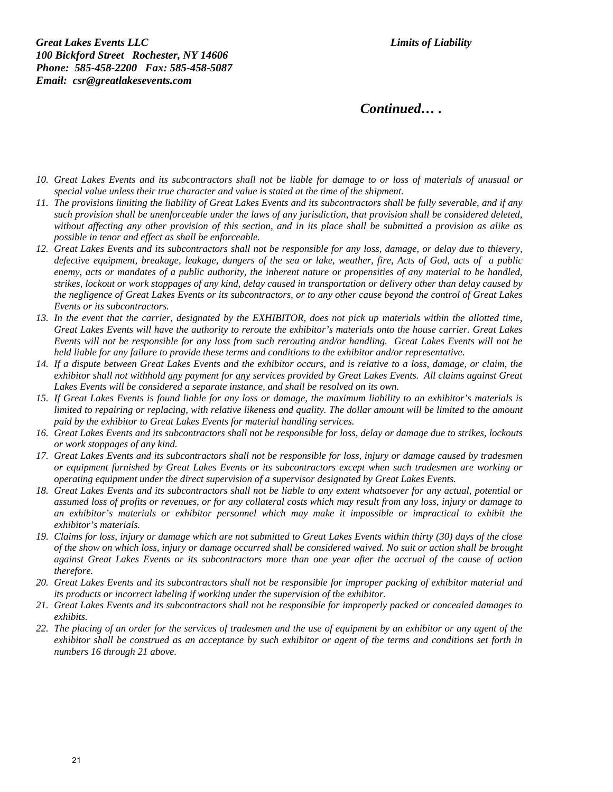**Great Lakes Events LLC Limits of Liability Limits of Liability** *100 Bickford Street Rochester, NY 14606 Phone: 585-458-2200 Fax: 585-458-5087 Email: csr@greatlakesevents.com* 

*Continued… .* 

- *10. Great Lakes Events and its subcontractors shall not be liable for damage to or loss of materials of unusual or special value unless their true character and value is stated at the time of the shipment.*
- *11. The provisions limiting the liability of Great Lakes Events and its subcontractors shall be fully severable, and if any such provision shall be unenforceable under the laws of any jurisdiction, that provision shall be considered deleted, without affecting any other provision of this section, and in its place shall be submitted a provision as alike as possible in tenor and effect as shall be enforceable.*
- *12. Great Lakes Events and its subcontractors shall not be responsible for any loss, damage, or delay due to thievery, defective equipment, breakage, leakage, dangers of the sea or lake, weather, fire, Acts of God, acts of a public enemy, acts or mandates of a public authority, the inherent nature or propensities of any material to be handled, strikes, lockout or work stoppages of any kind, delay caused in transportation or delivery other than delay caused by the negligence of Great Lakes Events or its subcontractors, or to any other cause beyond the control of Great Lakes Events or its subcontractors.*
- *13. In the event that the carrier, designated by the EXHIBITOR, does not pick up materials within the allotted time, Great Lakes Events will have the authority to reroute the exhibitor's materials onto the house carrier. Great Lakes Events will not be responsible for any loss from such rerouting and/or handling. Great Lakes Events will not be held liable for any failure to provide these terms and conditions to the exhibitor and/or representative.*
- *14. If a dispute between Great Lakes Events and the exhibitor occurs, and is relative to a loss, damage, or claim, the exhibitor shall not withhold any payment for any services provided by Great Lakes Events. All claims against Great Lakes Events will be considered a separate instance, and shall be resolved on its own.*
- *15. If Great Lakes Events is found liable for any loss or damage, the maximum liability to an exhibitor's materials is limited to repairing or replacing, with relative likeness and quality. The dollar amount will be limited to the amount paid by the exhibitor to Great Lakes Events for material handling services.*
- *16. Great Lakes Events and its subcontractors shall not be responsible for loss, delay or damage due to strikes, lockouts or work stoppages of any kind.*
- *17. Great Lakes Events and its subcontractors shall not be responsible for loss, injury or damage caused by tradesmen or equipment furnished by Great Lakes Events or its subcontractors except when such tradesmen are working or operating equipment under the direct supervision of a supervisor designated by Great Lakes Events.*
- *18. Great Lakes Events and its subcontractors shall not be liable to any extent whatsoever for any actual, potential or assumed loss of profits or revenues, or for any collateral costs which may result from any loss, injury or damage to an exhibitor's materials or exhibitor personnel which may make it impossible or impractical to exhibit the exhibitor's materials.*
- *19. Claims for loss, injury or damage which are not submitted to Great Lakes Events within thirty (30) days of the close of the show on which loss, injury or damage occurred shall be considered waived. No suit or action shall be brought against Great Lakes Events or its subcontractors more than one year after the accrual of the cause of action therefore.*
- *20. Great Lakes Events and its subcontractors shall not be responsible for improper packing of exhibitor material and its products or incorrect labeling if working under the supervision of the exhibitor.*
- *21. Great Lakes Events and its subcontractors shall not be responsible for improperly packed or concealed damages to exhibits.*
- *22. The placing of an order for the services of tradesmen and the use of equipment by an exhibitor or any agent of the exhibitor shall be construed as an acceptance by such exhibitor or agent of the terms and conditions set forth in numbers 16 through 21 above.*